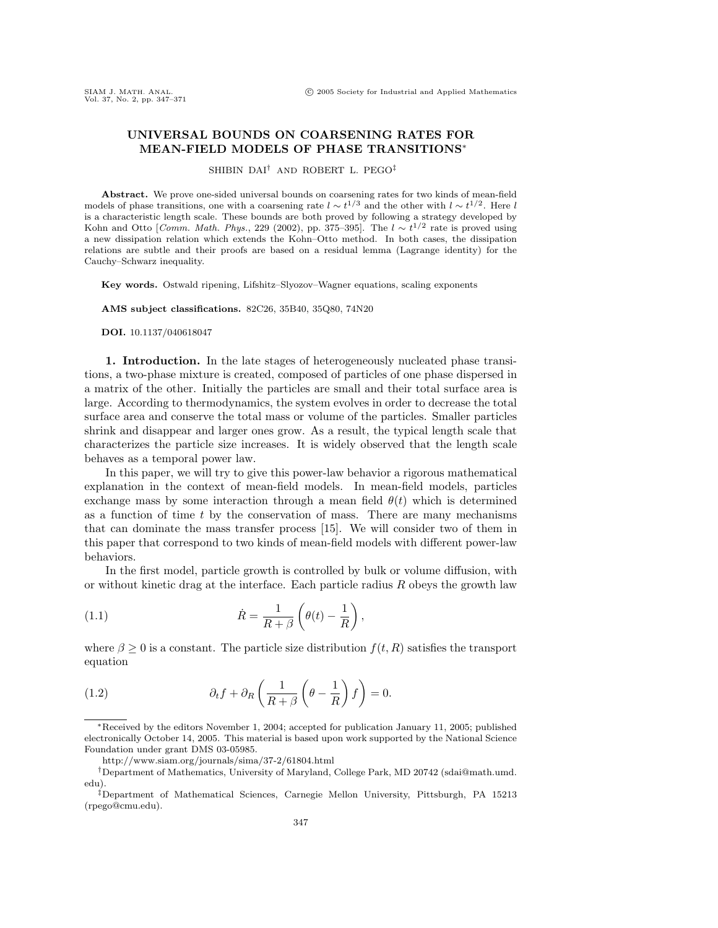## **UNIVERSAL BOUNDS ON COARSENING RATES FOR MEAN-FIELD MODELS OF PHASE TRANSITIONS**∗

SHIBIN DAI† AND ROBERT L. PEGO‡

**Abstract.** We prove one-sided universal bounds on coarsening rates for two kinds of mean-field models of phase transitions, one with a coarsening rate  $l \sim t^{1/3}$  and the other with  $l \sim t^{1/2}$ . Here l is a characteristic length scale. These bounds are both proved by following a strategy developed by Kohn and Otto [Comm. Math. Phys., 229 (2002), pp. 375–395]. The  $l \sim t^{1/2}$  rate is proved using a new dissipation relation which extends the Kohn–Otto method. In both cases, the dissipation relations are subtle and their proofs are based on a residual lemma (Lagrange identity) for the Cauchy–Schwarz inequality.

**Key words.** Ostwald ripening, Lifshitz–Slyozov–Wagner equations, scaling exponents

**AMS subject classifications.** 82C26, 35B40, 35Q80, 74N20

**DOI.** 10.1137/040618047

**1. Introduction.** In the late stages of heterogeneously nucleated phase transitions, a two-phase mixture is created, composed of particles of one phase dispersed in a matrix of the other. Initially the particles are small and their total surface area is large. According to thermodynamics, the system evolves in order to decrease the total surface area and conserve the total mass or volume of the particles. Smaller particles shrink and disappear and larger ones grow. As a result, the typical length scale that characterizes the particle size increases. It is widely observed that the length scale behaves as a temporal power law.

In this paper, we will try to give this power-law behavior a rigorous mathematical explanation in the context of mean-field models. In mean-field models, particles exchange mass by some interaction through a mean field  $\theta(t)$  which is determined as a function of time  $t$  by the conservation of mass. There are many mechanisms that can dominate the mass transfer process [15]. We will consider two of them in this paper that correspond to two kinds of mean-field models with different power-law behaviors.

In the first model, particle growth is controlled by bulk or volume diffusion, with or without kinetic drag at the interface. Each particle radius  $R$  obeys the growth law

(1.1) 
$$
\dot{R} = \frac{1}{R+\beta} \left( \theta(t) - \frac{1}{R} \right),
$$

where  $\beta \geq 0$  is a constant. The particle size distribution  $f(t, R)$  satisfies the transport equation

(1.2) 
$$
\partial_t f + \partial_R \left( \frac{1}{R + \beta} \left( \theta - \frac{1}{R} \right) f \right) = 0.
$$

∗Received by the editors November 1, 2004; accepted for publication January 11, 2005; published electronically October 14, 2005. This material is based upon work supported by the National Science Foundation under grant DMS 03-05985.

http://www.siam.org/journals/sima/37-2/61804.html

<sup>†</sup>Department of Mathematics, University of Maryland, College Park, MD 20742 (sdai@math.umd. edu).

<sup>‡</sup>Department of Mathematical Sciences, Carnegie Mellon University, Pittsburgh, PA 15213 (rpego@cmu.edu).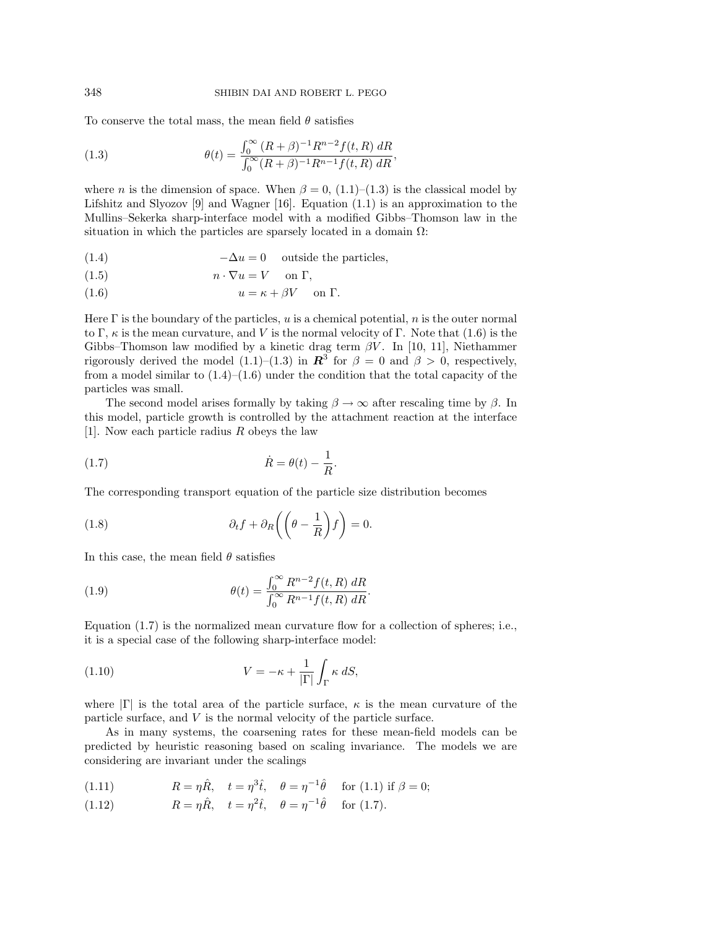To conserve the total mass, the mean field  $\theta$  satisfies

(1.3) 
$$
\theta(t) = \frac{\int_0^\infty (R+\beta)^{-1} R^{n-2} f(t, R) \, dR}{\int_0^\infty (R+\beta)^{-1} R^{n-1} f(t, R) \, dR},
$$

where *n* is the dimension of space. When  $\beta = 0$ , (1.1)–(1.3) is the classical model by Lifshitz and Slyozov [9] and Wagner [16]. Equation  $(1.1)$  is an approximation to the Mullins–Sekerka sharp-interface model with a modified Gibbs–Thomson law in the situation in which the particles are sparsely located in a domain  $\Omega$ :

(1.4)  $-\Delta u = 0$  outside the particles,

(1.5) 
$$
n \cdot \nabla u = V \quad \text{on } \Gamma,
$$

(1.6)  $u = \kappa + \beta V$  on  $\Gamma$ .

Here  $\Gamma$  is the boundary of the particles, u is a chemical potential, n is the outer normal to Γ,  $\kappa$  is the mean curvature, and V is the normal velocity of Γ. Note that (1.6) is the Gibbs–Thomson law modified by a kinetic drag term  $\beta V$ . In [10, 11], Niethammer rigorously derived the model (1.1)–(1.3) in  $\mathbb{R}^3$  for  $\beta = 0$  and  $\beta > 0$ , respectively, from a model similar to  $(1.4)$ – $(1.6)$  under the condition that the total capacity of the particles was small.

The second model arises formally by taking  $\beta \to \infty$  after rescaling time by  $\beta$ . In this model, particle growth is controlled by the attachment reaction at the interface [1]. Now each particle radius R obeys the law

$$
(1.7) \qquad \qquad \dot{R} = \theta(t) - \frac{1}{R}.
$$

The corresponding transport equation of the particle size distribution becomes

(1.8) 
$$
\partial_t f + \partial_R \left( \left( \theta - \frac{1}{R} \right) f \right) = 0.
$$

In this case, the mean field  $\theta$  satisfies

(1.9) 
$$
\theta(t) = \frac{\int_0^\infty R^{n-2} f(t, R) \, dR}{\int_0^\infty R^{n-1} f(t, R) \, dR}.
$$

Equation (1.7) is the normalized mean curvature flow for a collection of spheres; i.e., it is a special case of the following sharp-interface model:

(1.10) 
$$
V = -\kappa + \frac{1}{|\Gamma|} \int_{\Gamma} \kappa \, dS,
$$

where  $|\Gamma|$  is the total area of the particle surface,  $\kappa$  is the mean curvature of the particle surface, and V is the normal velocity of the particle surface.

As in many systems, the coarsening rates for these mean-field models can be predicted by heuristic reasoning based on scaling invariance. The models we are considering are invariant under the scalings

(1.11)  $R = \eta \hat{R}, \quad t = \eta^3 \hat{t}, \quad \theta = \eta^{-1} \hat{\theta} \quad \text{for (1.1) if } \beta = 0;$ 

(1.12) 
$$
R = \eta \hat{R}, \quad t = \eta^2 \hat{t}, \quad \theta = \eta^{-1} \hat{\theta} \quad \text{for (1.7)}.
$$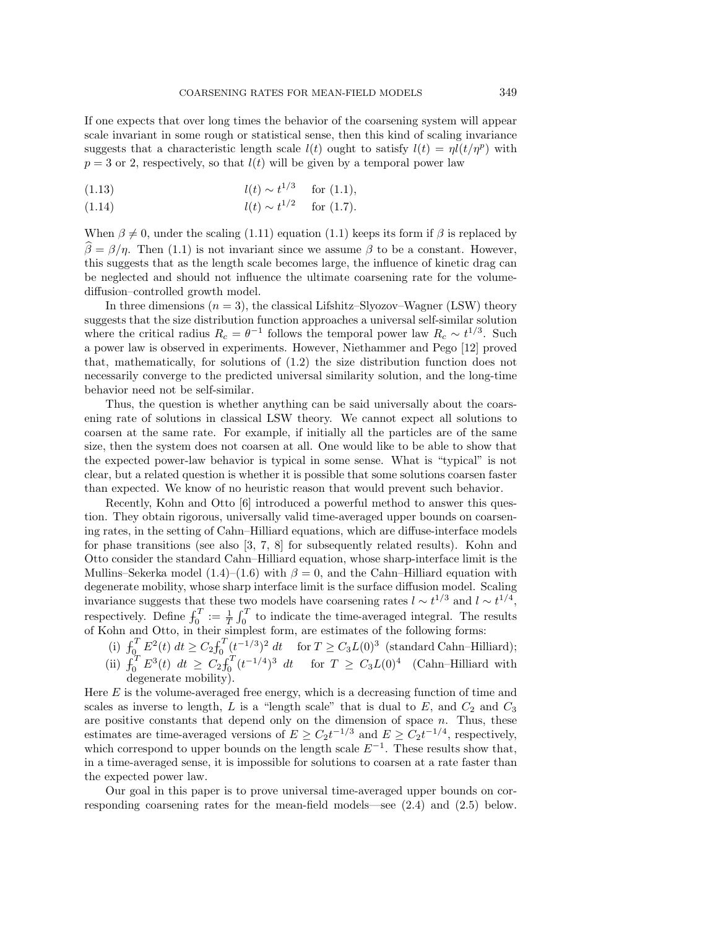If one expects that over long times the behavior of the coarsening system will appear scale invariant in some rough or statistical sense, then this kind of scaling invariance suggests that a characteristic length scale  $l(t)$  ought to satisfy  $l(t) = \eta l(t/\eta^p)$  with  $p = 3$  or 2, respectively, so that  $l(t)$  will be given by a temporal power law

(1.13) 
$$
l(t) \sim t^{1/3} \quad \text{for (1.1)},
$$

(1.14) 
$$
l(t) \sim t^{1/2} \quad \text{for (1.7)}.
$$

When  $\beta \neq 0$ , under the scaling (1.11) equation (1.1) keeps its form if  $\beta$  is replaced by  $\widehat{\beta} = \beta/\eta$ . Then (1.1) is not invariant since we assume  $\beta$  to be a constant. However, this suggests that as the length scale becomes large, the influence of kinetic drag can be neglected and should not influence the ultimate coarsening rate for the volumediffusion–controlled growth model.

In three dimensions  $(n = 3)$ , the classical Lifshitz–Slyozov–Wagner (LSW) theory suggests that the size distribution function approaches a universal self-similar solution where the critical radius  $R_c = \theta^{-1}$  follows the temporal power law  $R_c \sim t^{1/3}$ . Such a power law is observed in experiments. However, Niethammer and Pego [12] proved that, mathematically, for solutions of (1.2) the size distribution function does not necessarily converge to the predicted universal similarity solution, and the long-time behavior need not be self-similar.

Thus, the question is whether anything can be said universally about the coarsening rate of solutions in classical LSW theory. We cannot expect all solutions to coarsen at the same rate. For example, if initially all the particles are of the same size, then the system does not coarsen at all. One would like to be able to show that the expected power-law behavior is typical in some sense. What is "typical" is not clear, but a related question is whether it is possible that some solutions coarsen faster than expected. We know of no heuristic reason that would prevent such behavior.

Recently, Kohn and Otto [6] introduced a powerful method to answer this question. They obtain rigorous, universally valid time-averaged upper bounds on coarsening rates, in the setting of Cahn–Hilliard equations, which are diffuse-interface models for phase transitions (see also [3, 7, 8] for subsequently related results). Kohn and Otto consider the standard Cahn–Hilliard equation, whose sharp-interface limit is the Mullins–Sekerka model (1.4)–(1.6) with  $\beta = 0$ , and the Cahn–Hilliard equation with degenerate mobility, whose sharp interface limit is the surface diffusion model. Scaling invariance suggests that these two models have coarsening rates  $l \sim t^{1/3}$  and  $l \sim t^{1/4}$ , respectively. Define  $f_0^T := \frac{1}{T} \int_0^T$  to indicate the time-averaged integral. The results of Kohn and Otto, in their simplest form, are estimates of the following forms:

(i)  $\int_0^T E^2(t) dt \ge C_2 \int_0^T (t^{-1/3})^2 dt$  for  $T \ge C_3 L(0)^3$  (standard Cahn–Hilliard); (ii)  $\int_0^T E^3(t) dt \ge C_2 \int_0^T (t^{-1/4})^3 dt$  for  $T \ge C_3 L(0)^4$  (Cahn–Hilliard with degenerate mobility).

Here  $E$  is the volume-averaged free energy, which is a decreasing function of time and scales as inverse to length, L is a "length scale" that is dual to E, and  $C_2$  and  $C_3$ are positive constants that depend only on the dimension of space  $n$ . Thus, these estimates are time-averaged versions of  $E \geq C_2 t^{-1/3}$  and  $E \geq C_2 t^{-1/4}$ , respectively, which correspond to upper bounds on the length scale  $E^{-1}$ . These results show that, in a time-averaged sense, it is impossible for solutions to coarsen at a rate faster than the expected power law.

Our goal in this paper is to prove universal time-averaged upper bounds on corresponding coarsening rates for the mean-field models—see (2.4) and (2.5) below.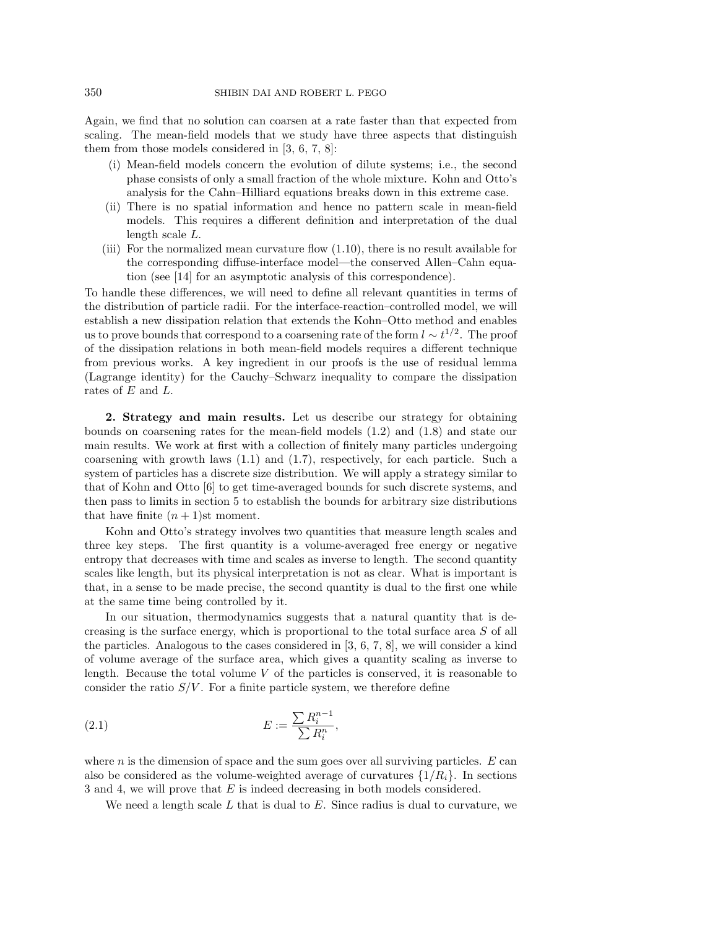Again, we find that no solution can coarsen at a rate faster than that expected from scaling. The mean-field models that we study have three aspects that distinguish them from those models considered in [3, 6, 7, 8]:

- (i) Mean-field models concern the evolution of dilute systems; i.e., the second phase consists of only a small fraction of the whole mixture. Kohn and Otto's analysis for the Cahn–Hilliard equations breaks down in this extreme case.
- (ii) There is no spatial information and hence no pattern scale in mean-field models. This requires a different definition and interpretation of the dual length scale L.
- (iii) For the normalized mean curvature flow (1.10), there is no result available for the corresponding diffuse-interface model—the conserved Allen–Cahn equation (see [14] for an asymptotic analysis of this correspondence).

To handle these differences, we will need to define all relevant quantities in terms of the distribution of particle radii. For the interface-reaction–controlled model, we will establish a new dissipation relation that extends the Kohn–Otto method and enables us to prove bounds that correspond to a coarsening rate of the form  $l \sim t^{1/2}$ . The proof of the dissipation relations in both mean-field models requires a different technique from previous works. A key ingredient in our proofs is the use of residual lemma (Lagrange identity) for the Cauchy–Schwarz inequality to compare the dissipation rates of E and L.

**2. Strategy and main results.** Let us describe our strategy for obtaining bounds on coarsening rates for the mean-field models (1.2) and (1.8) and state our main results. We work at first with a collection of finitely many particles undergoing coarsening with growth laws  $(1.1)$  and  $(1.7)$ , respectively, for each particle. Such a system of particles has a discrete size distribution. We will apply a strategy similar to that of Kohn and Otto [6] to get time-averaged bounds for such discrete systems, and then pass to limits in section 5 to establish the bounds for arbitrary size distributions that have finite  $(n + 1)$ st moment.

Kohn and Otto's strategy involves two quantities that measure length scales and three key steps. The first quantity is a volume-averaged free energy or negative entropy that decreases with time and scales as inverse to length. The second quantity scales like length, but its physical interpretation is not as clear. What is important is that, in a sense to be made precise, the second quantity is dual to the first one while at the same time being controlled by it.

In our situation, thermodynamics suggests that a natural quantity that is decreasing is the surface energy, which is proportional to the total surface area S of all the particles. Analogous to the cases considered in [3, 6, 7, 8], we will consider a kind of volume average of the surface area, which gives a quantity scaling as inverse to length. Because the total volume  $V$  of the particles is conserved, it is reasonable to consider the ratio  $S/V$ . For a finite particle system, we therefore define

$$
(2.1) \t\t\t\t E := \frac{\sum R_i^{n-1}}{\sum R_i^n},
$$

where  $n$  is the dimension of space and the sum goes over all surviving particles.  $E$  can also be considered as the volume-weighted average of curvatures  $\{1/R_i\}$ . In sections 3 and 4, we will prove that E is indeed decreasing in both models considered.

We need a length scale  $L$  that is dual to  $E$ . Since radius is dual to curvature, we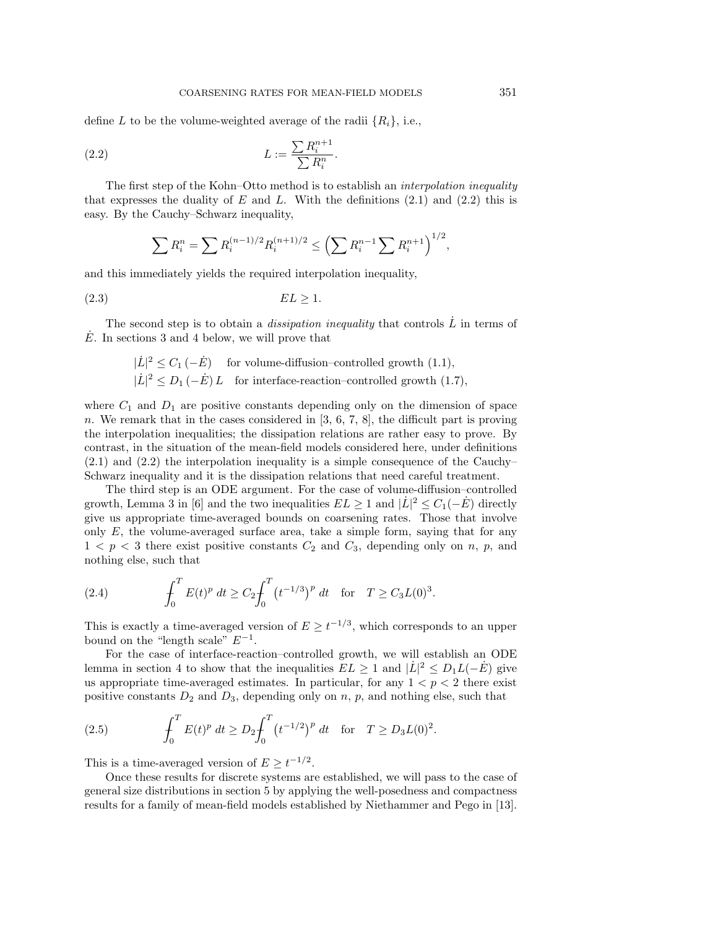define L to be the volume-weighted average of the radii  $\{R_i\}$ , i.e.,

$$
(2.2) \t\t\t L := \frac{\sum R_i^{n+1}}{\sum R_i^n}.
$$

The first step of the Kohn–Otto method is to establish an *interpolation inequality* that expresses the duality of E and L. With the definitions  $(2.1)$  and  $(2.2)$  this is easy. By the Cauchy–Schwarz inequality,

$$
\sum R_i^n = \sum R_i^{(n-1)/2} R_i^{(n+1)/2} \le \left(\sum R_i^{n-1} \sum R_i^{n+1}\right)^{1/2},
$$

and this immediately yields the required interpolation inequality,

$$
(2.3) \tEL \ge 1.
$$

The second step is to obtain a *dissipation inequality* that controls  $L$  in terms of E. In sections 3 and 4 below, we will prove that

$$
|\dot{L}|^2 \le C_1 \, (-\dot{E}) \quad \text{for volume-diffusion–controlled growth (1.1)},
$$
  

$$
|\dot{L}|^2 \le D_1 \, (-\dot{E}) \, L \quad \text{for interface-reaction–controlled growth (1.7)},
$$

where  $C_1$  and  $D_1$  are positive constants depending only on the dimension of space n. We remark that in the cases considered in [3, 6, 7, 8], the difficult part is proving the interpolation inequalities; the dissipation relations are rather easy to prove. By contrast, in the situation of the mean-field models considered here, under definitions (2.1) and (2.2) the interpolation inequality is a simple consequence of the Cauchy– Schwarz inequality and it is the dissipation relations that need careful treatment.

The third step is an ODE argument. For the case of volume-diffusion–controlled growth, Lemma 3 in [6] and the two inequalities  $EL \ge 1$  and  $|\dot{L}|^2 \le C_1(-\dot{E})$  directly give us appropriate time-averaged bounds on coarsening rates. Those that involve only  $E$ , the volume-averaged surface area, take a simple form, saying that for any  $1 < p < 3$  there exist positive constants  $C_2$  and  $C_3$ , depending only on n, p, and nothing else, such that

(2.4) 
$$
\int_0^T E(t)^p dt \ge C_2 \int_0^T (t^{-1/3})^p dt \text{ for } T \ge C_3 L(0)^3.
$$

This is exactly a time-averaged version of  $E \geq t^{-1/3}$ , which corresponds to an upper bound on the "length scale"  $E^{-1}$ .

For the case of interface-reaction–controlled growth, we will establish an ODE lemma in section 4 to show that the inequalities  $\tilde{E}L \geq 1$  and  $|\dot{L}|^2 \leq D_1L(-\dot{E})$  give us appropriate time-averaged estimates. In particular, for any  $1 < p < 2$  there exist positive constants  $D_2$  and  $D_3$ , depending only on n, p, and nothing else, such that

(2.5) 
$$
\int_0^T E(t)^p dt \ge D_2 \int_0^T (t^{-1/2})^p dt \text{ for } T \ge D_3 L(0)^2.
$$

This is a time-averaged version of  $E \geq t^{-1/2}$ .

Once these results for discrete systems are established, we will pass to the case of general size distributions in section 5 by applying the well-posedness and compactness results for a family of mean-field models established by Niethammer and Pego in [13].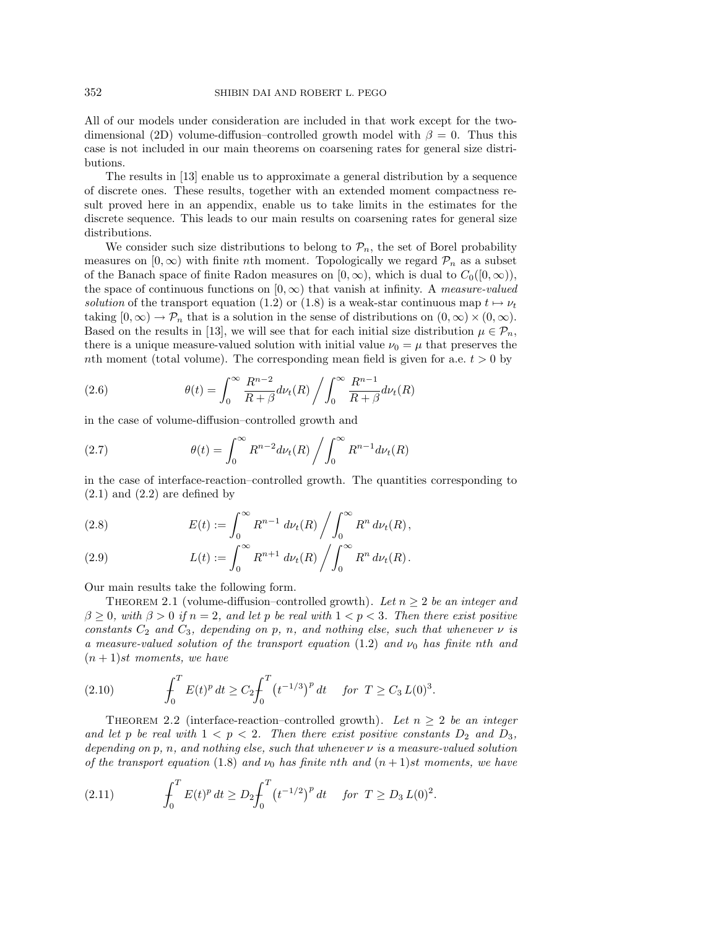All of our models under consideration are included in that work except for the twodimensional (2D) volume-diffusion–controlled growth model with  $\beta = 0$ . Thus this case is not included in our main theorems on coarsening rates for general size distributions.

The results in [13] enable us to approximate a general distribution by a sequence of discrete ones. These results, together with an extended moment compactness result proved here in an appendix, enable us to take limits in the estimates for the discrete sequence. This leads to our main results on coarsening rates for general size distributions.

We consider such size distributions to belong to  $\mathcal{P}_n$ , the set of Borel probability measures on  $[0,\infty)$  with finite nth moment. Topologically we regard  $\mathcal{P}_n$  as a subset of the Banach space of finite Radon measures on  $[0, \infty)$ , which is dual to  $C_0([0, \infty))$ , the space of continuous functions on  $[0,\infty)$  that vanish at infinity. A *measure-valued* solution of the transport equation (1.2) or (1.8) is a weak-star continuous map  $t \mapsto \nu_t$ taking  $[0,\infty) \to \mathcal{P}_n$  that is a solution in the sense of distributions on  $(0,\infty) \times (0,\infty)$ . Based on the results in [13], we will see that for each initial size distribution  $\mu \in \mathcal{P}_n$ , there is a unique measure-valued solution with initial value  $\nu_0 = \mu$  that preserves the nth moment (total volume). The corresponding mean field is given for a.e.  $t > 0$  by

(2.6) 
$$
\theta(t) = \int_0^\infty \frac{R^{n-2}}{R+\beta} d\nu_t(R) / \int_0^\infty \frac{R^{n-1}}{R+\beta} d\nu_t(R)
$$

in the case of volume-diffusion–controlled growth and

(2.7) 
$$
\theta(t) = \int_0^\infty R^{n-2} d\nu_t(R) / \int_0^\infty R^{n-1} d\nu_t(R)
$$

in the case of interface-reaction–controlled growth. The quantities corresponding to  $(2.1)$  and  $(2.2)$  are defined by

(2.8) 
$$
E(t) := \int_0^\infty R^{n-1} d\nu_t(R) \left/ \int_0^\infty R^n d\nu_t(R) \right,
$$

(2.9) 
$$
L(t) := \int_0^\infty R^{n+1} \, d\nu_t(R) \left/ \int_0^\infty R^n \, d\nu_t(R) \right.
$$

Our main results take the following form.

THEOREM 2.1 (volume-diffusion–controlled growth). Let  $n \geq 2$  be an integer and  $\beta \geq 0$ , with  $\beta > 0$  if  $n = 2$ , and let p be real with  $1 < p < 3$ . Then there exist positive constants  $C_2$  and  $C_3$ , depending on p, n, and nothing else, such that whenever  $\nu$  is a measure-valued solution of the transport equation (1.2) and  $\nu_0$  has finite nth and  $(n+1)$ st moments, we have

(2.10) 
$$
\int_0^T E(t)^p dt \ge C_2 \int_0^T (t^{-1/3})^p dt \quad \text{for } T \ge C_3 L(0)^3.
$$

THEOREM 2.2 (interface-reaction–controlled growth). Let  $n \geq 2$  be an integer and let p be real with  $1 < p < 2$ . Then there exist positive constants  $D_2$  and  $D_3$ , depending on p, n, and nothing else, such that whenever  $\nu$  is a measure-valued solution of the transport equation (1.8) and  $\nu_0$  has finite nth and  $(n + 1)$ st moments, we have

(2.11) 
$$
\int_0^T E(t)^p dt \ge D_2 \int_0^T (t^{-1/2})^p dt \quad \text{for } T \ge D_3 L(0)^2.
$$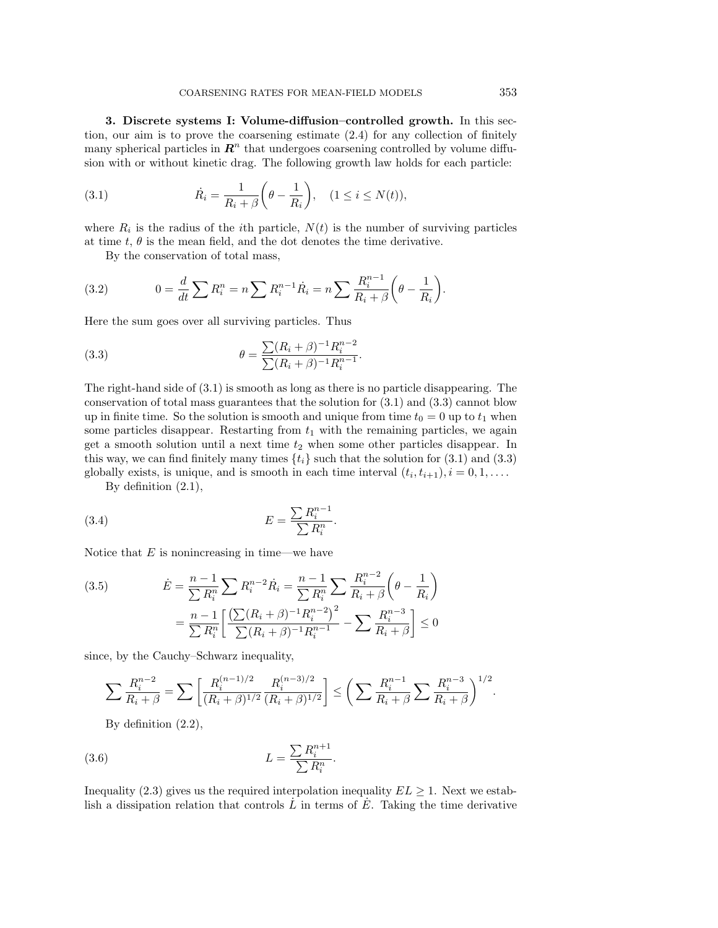**3. Discrete systems I: Volume-diffusion–controlled growth.** In this section, our aim is to prove the coarsening estimate (2.4) for any collection of finitely many spherical particles in  $\mathbb{R}^n$  that undergoes coarsening controlled by volume diffusion with or without kinetic drag. The following growth law holds for each particle:

(3.1) 
$$
\dot{R}_i = \frac{1}{R_i + \beta} \left( \theta - \frac{1}{R_i} \right), \quad (1 \le i \le N(t)),
$$

where  $R_i$  is the radius of the *i*th particle,  $N(t)$  is the number of surviving particles at time  $t, \theta$  is the mean field, and the dot denotes the time derivative.

By the conservation of total mass,

(3.2) 
$$
0 = \frac{d}{dt} \sum R_i^n = n \sum R_i^{n-1} \dot{R}_i = n \sum \frac{R_i^{n-1}}{R_i + \beta} \left(\theta - \frac{1}{R_i}\right).
$$

Here the sum goes over all surviving particles. Thus

(3.3) 
$$
\theta = \frac{\sum (R_i + \beta)^{-1} R_i^{n-2}}{\sum (R_i + \beta)^{-1} R_i^{n-1}}.
$$

The right-hand side of (3.1) is smooth as long as there is no particle disappearing. The conservation of total mass guarantees that the solution for  $(3.1)$  and  $(3.3)$  cannot blow up in finite time. So the solution is smooth and unique from time  $t_0 = 0$  up to  $t_1$  when some particles disappear. Restarting from  $t_1$  with the remaining particles, we again get a smooth solution until a next time  $t_2$  when some other particles disappear. In this way, we can find finitely many times  $\{t_i\}$  such that the solution for  $(3.1)$  and  $(3.3)$ globally exists, is unique, and is smooth in each time interval  $(t_i, t_{i+1}), i = 0, 1, \ldots$ .

By definition (2.1),

$$
(3.4) \t\t\t\t E = \frac{\sum R_i^{n-1}}{\sum R_i^n}.
$$

Notice that  $E$  is nonincreasing in time—we have

(3.5) 
$$
\dot{E} = \frac{n-1}{\sum R_i^n} \sum R_i^{n-2} \dot{R}_i = \frac{n-1}{\sum R_i^n} \sum \frac{R_i^{n-2}}{R_i + \beta} \left(\theta - \frac{1}{R_i}\right)
$$

$$
= \frac{n-1}{\sum R_i^n} \left[\frac{\left(\sum (R_i + \beta)^{-1} R_i^{n-2}\right)^2}{\sum (R_i + \beta)^{-1} R_i^{n-1}} - \sum \frac{R_i^{n-3}}{R_i + \beta}\right] \le 0
$$

since, by the Cauchy–Schwarz inequality,

$$
\sum \frac{R_i^{n-2}}{R_i+\beta} = \sum \left[ \frac{R_i^{(n-1)/2}}{(R_i+\beta)^{1/2}} \frac{R_i^{(n-3)/2}}{(R_i+\beta)^{1/2}} \right] \leq \left( \sum \frac{R_i^{n-1}}{R_i+\beta} \sum \frac{R_i^{n-3}}{R_i+\beta} \right)^{1/2}.
$$

By definition (2.2),

$$
(3.6)\qquad \qquad L = \frac{\sum R_i^{n+1}}{\sum R_i^n}.
$$

Inequality (2.3) gives us the required interpolation inequality  $EL \geq 1$ . Next we establish a dissipation relation that controls  $\tilde{L}$  in terms of  $\tilde{E}$ . Taking the time derivative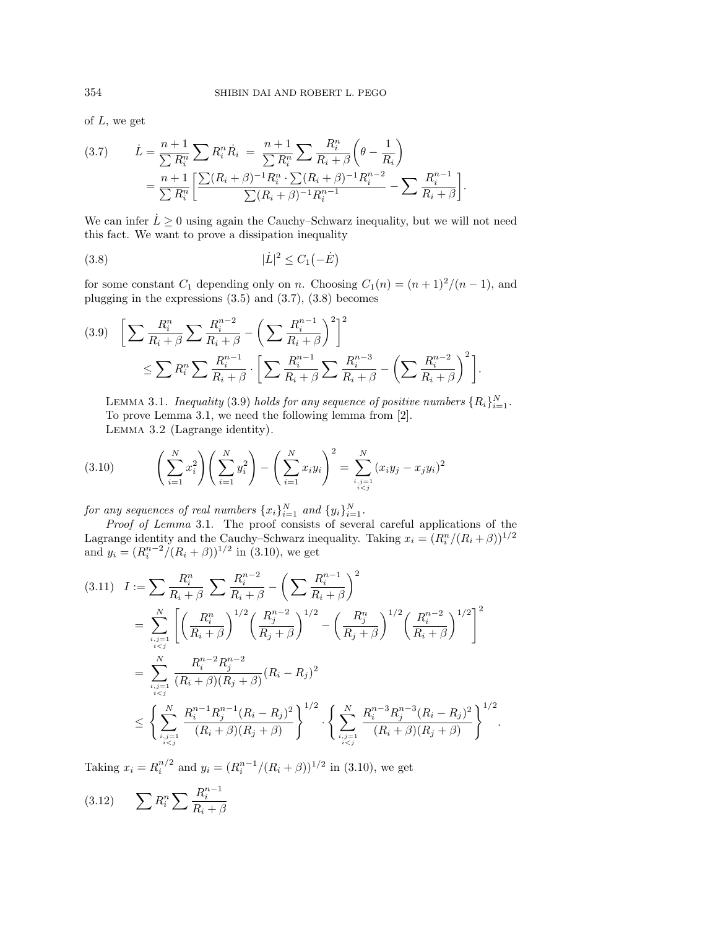of  $L$ , we get

$$
(3.7) \qquad \dot{L} = \frac{n+1}{\sum R_i^n} \sum R_i^n \dot{R}_i \ = \frac{n+1}{\sum R_i^n} \sum \frac{R_i^n}{R_i + \beta} \left(\theta - \frac{1}{R_i}\right)
$$
\n
$$
= \frac{n+1}{\sum R_i^n} \left[ \frac{\sum (R_i + \beta)^{-1} R_i^n \cdot \sum (R_i + \beta)^{-1} R_i^{n-2}}{\sum (R_i + \beta)^{-1} R_i^{n-1}} - \sum \frac{R_i^{n-1}}{R_i + \beta} \right].
$$

We can infer  $\dot{L} \geq 0$  using again the Cauchy–Schwarz inequality, but we will not need this fact. We want to prove a dissipation inequality

$$
(3.8)\qquad \qquad |\dot{L}|^2 \leq C_1(-\dot{E})
$$

for some constant  $C_1$  depending only on n. Choosing  $C_1(n)=(n+1)^2/(n-1)$ , and plugging in the expressions (3.5) and (3.7), (3.8) becomes

$$
(3.9) \quad \left[ \sum \frac{R_i^n}{R_i + \beta} \sum \frac{R_i^{n-2}}{R_i + \beta} - \left( \sum \frac{R_i^{n-1}}{R_i + \beta} \right)^2 \right]^2
$$
  

$$
\leq \sum R_i^n \sum \frac{R_i^{n-1}}{R_i + \beta} \cdot \left[ \sum \frac{R_i^{n-1}}{R_i + \beta} \sum \frac{R_i^{n-3}}{R_i + \beta} - \left( \sum \frac{R_i^{n-2}}{R_i + \beta} \right)^2 \right].
$$

LEMMA 3.1. Inequality (3.9) holds for any sequence of positive numbers  $\{R_i\}_{i=1}^N$ . To prove Lemma 3.1, we need the following lemma from [2]. Lemma 3.2 (Lagrange identity).

$$
(3.10) \qquad \left(\sum_{i=1}^{N} x_i^2\right) \left(\sum_{i=1}^{N} y_i^2\right) - \left(\sum_{i=1}^{N} x_i y_i\right)^2 = \sum_{\substack{i,j=1 \\ i
$$

for any sequences of real numbers  $\{x_i\}_{i=1}^N$  and  $\{y_i\}_{i=1}^N$ .

Proof of Lemma 3.1. The proof consists of several careful applications of the Lagrange identity and the Cauchy–Schwarz inequality. Taking  $x_i = (R_i^n/(R_i + \beta))^{1/2}$ and  $y_i = (R_i^{n-2}/(R_i + \beta))^{1/2}$  in (3.10), we get

$$
(3.11) \quad I := \sum_{i} \frac{R_i^n}{R_i + \beta} \sum_{i} \frac{R_i^{n-2}}{R_i + \beta} - \left(\sum_{i} \frac{R_i^{n-1}}{R_i + \beta}\right)^2
$$
\n
$$
= \sum_{i,j=1 \atop i\n
$$
= \sum_{i,j=1 \atop i\n
$$
\leq \left\{ \sum_{i,j=1 \atop i
$$
$$
$$

Taking  $x_i = R_i^{n/2}$  and  $y_i = (R_i^{n-1}/(R_i + \beta))^{1/2}$  in (3.10), we get

$$
(3.12)\qquad \sum R_i^n \sum \frac{R_i^{n-1}}{R_i+\beta}
$$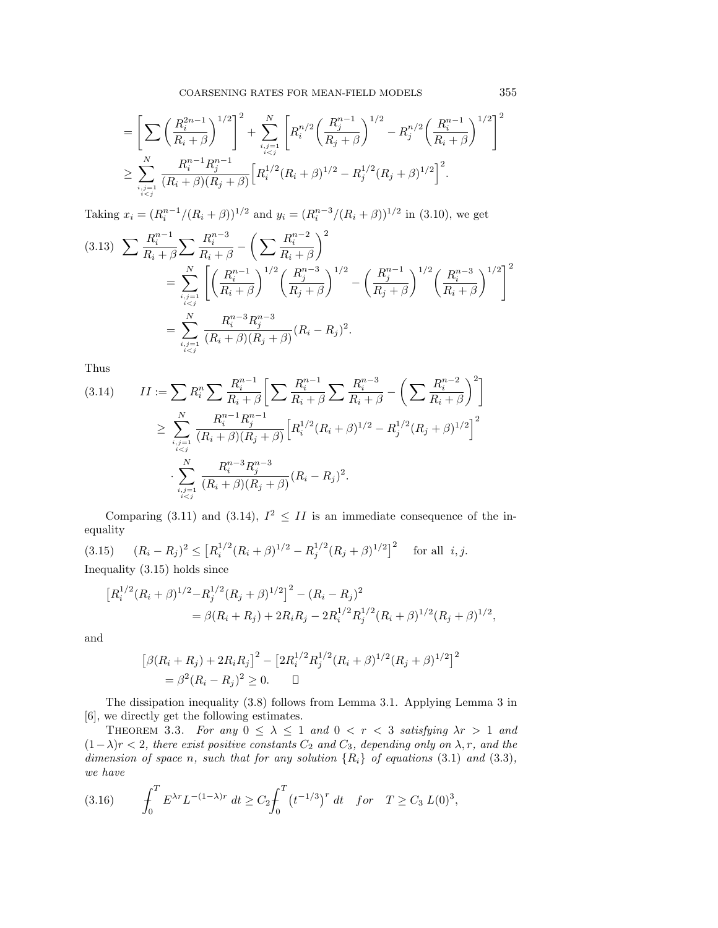$$
= \left[\sum_{k} \left(\frac{R_i^{2n-1}}{R_i+\beta}\right)^{1/2}\right]^2 + \sum_{\substack{i,j=1 \\ i  

$$
\geq \sum_{\substack{i,j=1 \\ i
$$
$$

Taking  $x_i = (R_i^{n-1}/(R_i + \beta))^{1/2}$  and  $y_i = (R_i^{n-3}/(R_i + \beta))^{1/2}$  in (3.10), we get

$$
(3.13) \sum \frac{R_i^{n-1}}{R_i + \beta} \sum \frac{R_i^{n-3}}{R_i + \beta} - \left(\sum \frac{R_i^{n-2}}{R_i + \beta}\right)^2
$$
  
= 
$$
\sum_{\substack{i,j=1 \ i  
= 
$$
\sum_{\substack{i,j=1 \ i
$$
$$

Thus

$$
(3.14) \qquad II := \sum_{i} R_i^n \sum_{i} \frac{R_i^{n-1}}{R_i + \beta} \left[ \sum_{i} \frac{R_i^{n-1}}{R_i + \beta} \sum_{i} \frac{R_i^{n-3}}{R_i + \beta} - \left( \sum_{i} \frac{R_i^{n-2}}{R_i + \beta} \right)^2 \right]
$$
  

$$
\geq \sum_{i,j=1 \atop i  

$$
\cdot \sum_{i,j=1 \atop i
$$
$$

Comparing (3.11) and (3.14),  $I^2 \n\t\leq II$  is an immediate consequence of the inequality

(3.15)  $(R_i - R_j)^2 \leq [R_i^{1/2}(R_i + \beta)^{1/2} - R_j^{1/2}(R_j + \beta)^{1/2}]^2$  for all *i*, *j*. Inequality (3.15) holds since

$$
[R_i^{1/2}(R_i + \beta)^{1/2} - R_j^{1/2}(R_j + \beta)^{1/2}]^2 - (R_i - R_j)^2
$$
  
=  $\beta(R_i + R_j) + 2R_iR_j - 2R_i^{1/2}R_j^{1/2}(R_i + \beta)^{1/2}(R_j + \beta)^{1/2},$ 

and

$$
[\beta(R_i + R_j) + 2R_i R_j]^2 - [2R_i^{1/2} R_j^{1/2} (R_i + \beta)^{1/2} (R_j + \beta)^{1/2}]^2
$$
  
=  $\beta^2 (R_i - R_j)^2 \ge 0.$ 

The dissipation inequality (3.8) follows from Lemma 3.1. Applying Lemma 3 in [6], we directly get the following estimates.

THEOREM 3.3. For any  $0 \leq \lambda \leq 1$  and  $0 \leq r \leq 3$  satisfying  $\lambda r > 1$  and  $(1-\lambda)r < 2$ , there exist positive constants  $C_2$  and  $C_3$ , depending only on  $\lambda, r$ , and the dimension of space n, such that for any solution  $\{R_i\}$  of equations (3.1) and (3.3), we have

(3.16) 
$$
\int_0^T E^{\lambda r} L^{-(1-\lambda)r} dt \ge C_2 \int_0^T (t^{-1/3})^r dt \text{ for } T \ge C_3 L(0)^3,
$$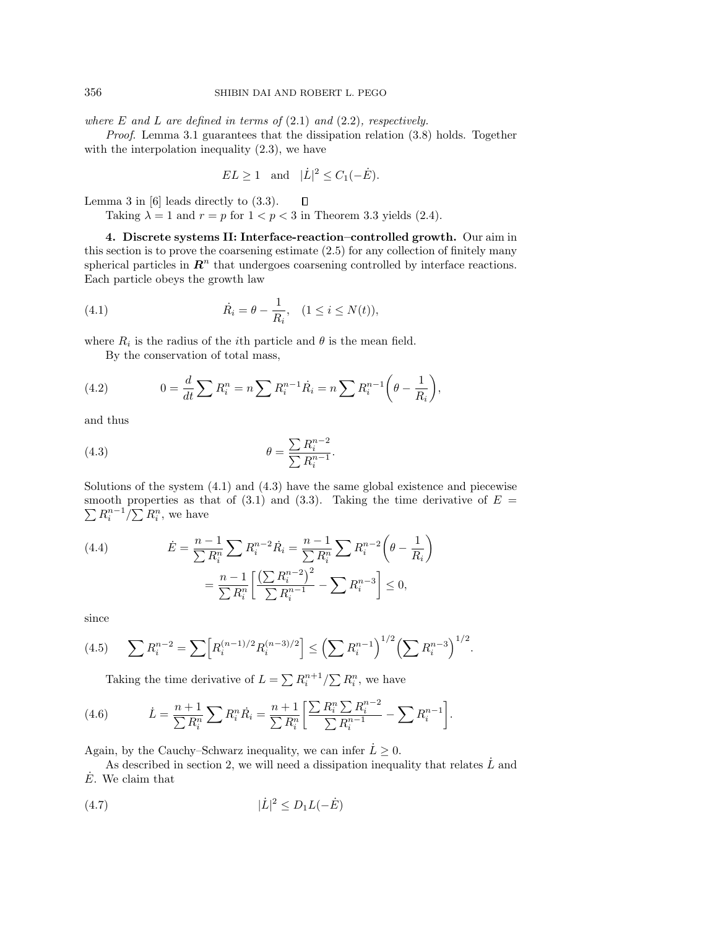where  $E$  and  $L$  are defined in terms of  $(2.1)$  and  $(2.2)$ , respectively.

Proof. Lemma 3.1 guarantees that the dissipation relation (3.8) holds. Together with the interpolation inequality  $(2.3)$ , we have

$$
EL \ge 1 \quad \text{and} \quad |\dot{L}|^2 \le C_1(-\dot{E}).
$$

 $\Box$ Lemma 3 in [6] leads directly to (3.3).

Taking  $\lambda = 1$  and  $r = p$  for  $1 < p < 3$  in Theorem 3.3 yields (2.4).

**4. Discrete systems II: Interface-reaction–controlled growth.** Our aim in this section is to prove the coarsening estimate (2.5) for any collection of finitely many spherical particles in  $\mathbb{R}^n$  that undergoes coarsening controlled by interface reactions. Each particle obeys the growth law

(4.1) 
$$
\dot{R}_i = \theta - \frac{1}{R_i}, \quad (1 \le i \le N(t)),
$$

where  $R_i$  is the radius of the *i*th particle and  $\theta$  is the mean field.

By the conservation of total mass,

(4.2) 
$$
0 = \frac{d}{dt} \sum R_i^n = n \sum R_i^{n-1} \dot{R}_i = n \sum R_i^{n-1} \left(\theta - \frac{1}{R_i}\right),
$$

and thus

$$
\theta = \frac{\sum R_i^{n-2}}{\sum R_i^{n-1}}.
$$

Solutions of the system  $(4.1)$  and  $(4.3)$  have the same global existence and piecewise smooth properties as that of  $(3.1)$  and  $(3.3)$ . Taking the time derivative of  $E =$  $\sum R_i^{n-1}/\sum R_i^n$ , we have

(4.4) 
$$
\dot{E} = \frac{n-1}{\sum R_i^n} \sum R_i^{n-2} \dot{R}_i = \frac{n-1}{\sum R_i^n} \sum R_i^{n-2} \left(\theta - \frac{1}{R_i}\right)
$$

$$
= \frac{n-1}{\sum R_i^n} \left[\frac{\left(\sum R_i^{n-2}\right)^2}{\sum R_i^{n-1}} - \sum R_i^{n-3}\right] \le 0,
$$

since

$$
(4.5) \qquad \sum R_i^{n-2} = \sum \left[ R_i^{(n-1)/2} R_i^{(n-3)/2} \right] \le \left( \sum R_i^{n-1} \right)^{1/2} \left( \sum R_i^{n-3} \right)^{1/2}.
$$

Taking the time derivative of  $L = \sum R_i^{n+1} / \sum R_i^n$ , we have

(4.6) 
$$
\dot{L} = \frac{n+1}{\sum R_i^n} \sum R_i^n \dot{R}_i = \frac{n+1}{\sum R_i^n} \left[ \frac{\sum R_i^n \sum R_i^{n-2}}{\sum R_i^{n-1}} - \sum R_i^{n-1} \right].
$$

Again, by the Cauchy–Schwarz inequality, we can infer  $\dot{L} \geq 0$ .

As described in section 2, we will need a dissipation inequality that relates  $\dot{L}$  and  $E$ . We claim that

$$
(4.7) \qquad \qquad |\dot{L}|^2 \le D_1 L(-\dot{E})
$$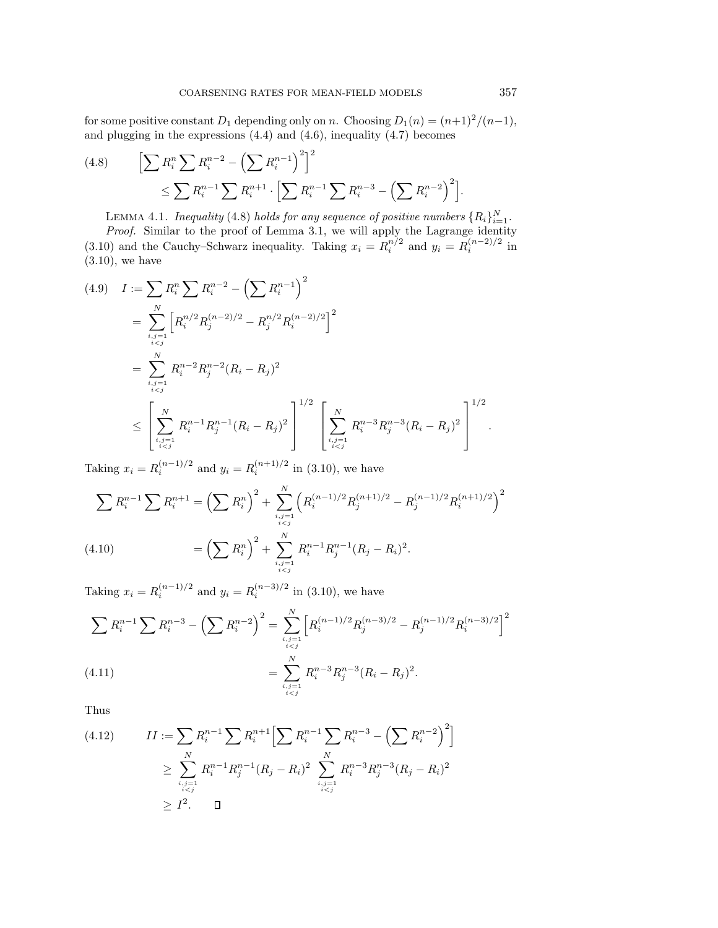for some positive constant  $D_1$  depending only on n. Choosing  $D_1(n)=(n+1)^2/(n-1)$ , and plugging in the expressions (4.4) and (4.6), inequality (4.7) becomes

(4.8) 
$$
\left[\sum R_i^n \sum R_i^{n-2} - \left(\sum R_i^{n-1}\right)^2\right]^2 \le \sum R_i^{n-1} \sum R_i^{n+1} \cdot \left[\sum R_i^{n-1} \sum R_i^{n-3} - \left(\sum R_i^{n-2}\right)^2\right].
$$

LEMMA 4.1. Inequality (4.8) holds for any sequence of positive numbers  $\{R_i\}_{i=1}^N$ .

Proof. Similar to the proof of Lemma 3.1, we will apply the Lagrange identity (3.10) and the Cauchy–Schwarz inequality. Taking  $x_i = R_i^{n/2}$  and  $y_i = R_i^{(n-2)/2}$  in (3.10), we have

$$
(4.9) \quad I := \sum_{i} R_i^n \sum_{i} R_i^{n-2} - \left(\sum_{i} R_i^{n-1}\right)^2
$$
\n
$$
= \sum_{i,j=1 \atop i\n
$$
= \sum_{i,j=1 \atop i\n
$$
\leq \left[ \sum_{i,j=1 \atop i
$$
$$
$$

Taking  $x_i = R_i^{(n-1)/2}$  and  $y_i = R_i^{(n+1)/2}$  in (3.10), we have

$$
\sum R_i^{n-1} \sum R_i^{n+1} = \left(\sum R_i^n\right)^2 + \sum_{\substack{i,j=1 \ i\n
$$
(4.10) \qquad \qquad = \left(\sum R_i^n\right)^2 + \sum_{\substack{i,j=1 \ i
$$
$$

Taking  $x_i = R_i^{(n-1)/2}$  and  $y_i = R_i^{(n-3)/2}$  in (3.10), we have

$$
\sum R_i^{n-1} \sum R_i^{n-3} - \left(\sum R_i^{n-2}\right)^2 = \sum_{\substack{i,j=1 \ i  

$$
= \sum_{\substack{i,j=1 \ i
$$
$$

Thus

$$
(4.12) \qquad II := \sum_{i} R_i^{n-1} \sum_{i} R_i^{n+1} \Big[ \sum_{i} R_i^{n-1} \sum_{j} R_i^{n-3} - \Big( \sum_{i} R_i^{n-2} \Big)^2 \Big] \geq \sum_{i,j=1 \atop i
$$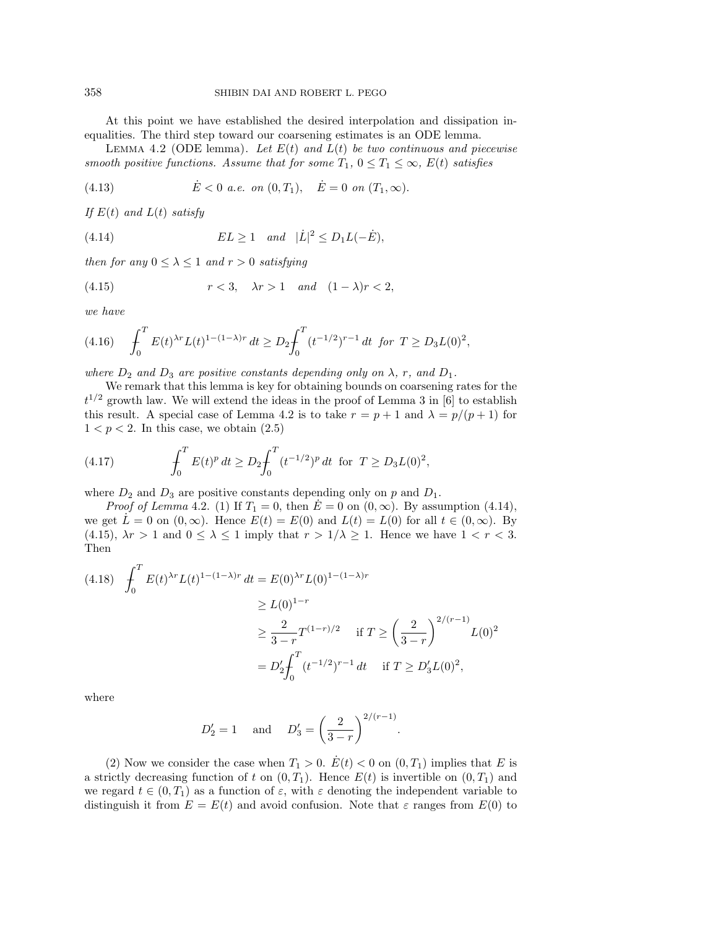At this point we have established the desired interpolation and dissipation inequalities. The third step toward our coarsening estimates is an ODE lemma.

LEMMA 4.2 (ODE lemma). Let  $E(t)$  and  $L(t)$  be two continuous and piecewise smooth positive functions. Assume that for some  $T_1$ ,  $0 \le T_1 \le \infty$ ,  $E(t)$  satisfies

(4.13) 
$$
\dot{E} < 0 \text{ a.e. on } (0, T_1), \quad \dot{E} = 0 \text{ on } (T_1, \infty).
$$

If  $E(t)$  and  $L(t)$  satisfy

(4.14) 
$$
EL \ge 1 \quad and \quad |\dot{L}|^2 \le D_1L(-\dot{E}),
$$

then for any  $0 \leq \lambda \leq 1$  and  $r > 0$  satisfying

$$
(4.15) \t\t r < 3, \quad \lambda r > 1 \quad and \quad (1 - \lambda)r < 2,
$$

we have

$$
(4.16)\quad \int_0^T E(t)^{\lambda r} L(t)^{1-(1-\lambda)r} dt \ge D_2 \int_0^T (t^{-1/2})^{r-1} dt \text{ for } T \ge D_3 L(0)^2,
$$

where  $D_2$  and  $D_3$  are positive constants depending only on  $\lambda$ , r, and  $D_1$ .

We remark that this lemma is key for obtaining bounds on coarsening rates for the  $t^{1/2}$  growth law. We will extend the ideas in the proof of Lemma 3 in [6] to establish this result. A special case of Lemma 4.2 is to take  $r = p + 1$  and  $\lambda = p/(p+1)$  for  $1 < p < 2$ . In this case, we obtain  $(2.5)$ 

(4.17) 
$$
\int_0^T E(t)^p dt \ge D_2 \int_0^T (t^{-1/2})^p dt \text{ for } T \ge D_3 L(0)^2,
$$

where  $D_2$  and  $D_3$  are positive constants depending only on p and  $D_1$ .

*Proof of Lemma* 4.2. (1) If  $T_1 = 0$ , then  $E = 0$  on  $(0, \infty)$ . By assumption (4.14), we get  $\dot{L} = 0$  on  $(0, \infty)$ . Hence  $E(t) = E(0)$  and  $L(t) = L(0)$  for all  $t \in (0, \infty)$ . By (4.15),  $\lambda r > 1$  and  $0 \leq \lambda \leq 1$  imply that  $r > 1/\lambda \geq 1$ . Hence we have  $1 < r < 3$ . Then

$$
(4.18) \quad \int_0^T E(t)^{\lambda r} L(t)^{1-(1-\lambda)r} dt = E(0)^{\lambda r} L(0)^{1-(1-\lambda)r}
$$

$$
\geq L(0)^{1-r}
$$

$$
\geq \frac{2}{3-r} T^{(1-r)/2} \quad \text{if } T \geq \left(\frac{2}{3-r}\right)^{2/(r-1)} L(0)^2
$$

$$
= D_2' \int_0^T (t^{-1/2})^{r-1} dt \quad \text{if } T \geq D_3' L(0)^2,
$$

where

$$
D'_2 = 1
$$
 and  $D'_3 = \left(\frac{2}{3-r}\right)^{2/(r-1)}$ .

(2) Now we consider the case when  $T_1 > 0$ .  $\dot{E}(t) < 0$  on  $(0, T_1)$  implies that E is a strictly decreasing function of t on  $(0, T_1)$ . Hence  $E(t)$  is invertible on  $(0, T_1)$  and we regard  $t \in (0, T_1)$  as a function of  $\varepsilon$ , with  $\varepsilon$  denoting the independent variable to distinguish it from  $E = E(t)$  and avoid confusion. Note that  $\varepsilon$  ranges from  $E(0)$  to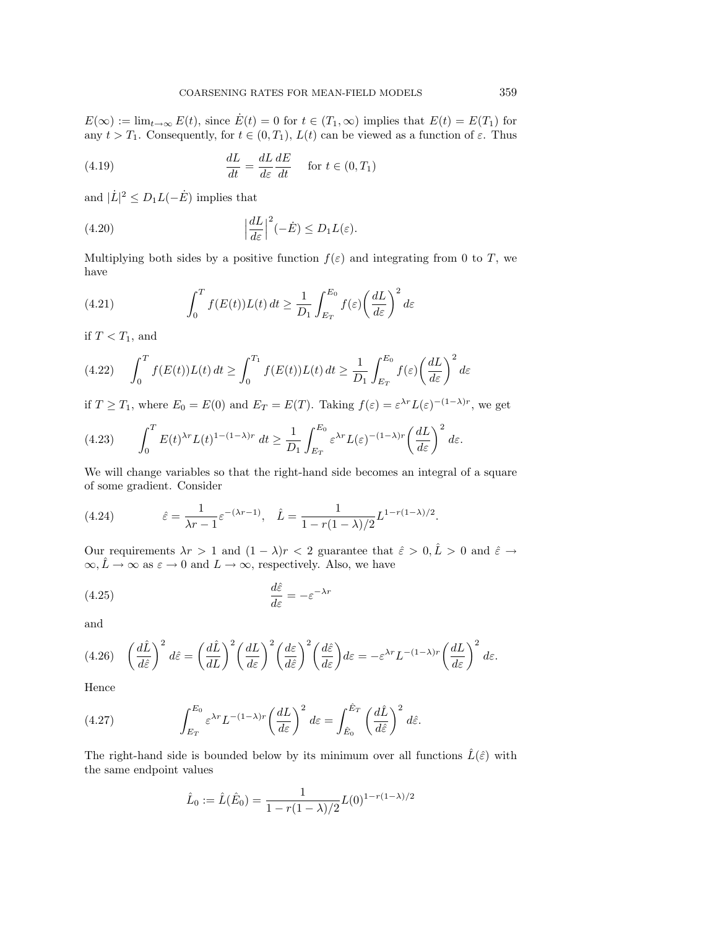$E(\infty) := \lim_{t \to \infty} E(t)$ , since  $\dot{E}(t) = 0$  for  $t \in (T_1, \infty)$  implies that  $E(t) = E(T_1)$  for any  $t > T_1$ . Consequently, for  $t \in (0, T_1)$ ,  $L(t)$  can be viewed as a function of  $\varepsilon$ . Thus

(4.19) 
$$
\frac{dL}{dt} = \frac{dL}{d\varepsilon} \frac{dE}{dt} \quad \text{for } t \in (0, T_1)
$$

and  $|\dot{L}|^2 \le D_1 L(-\dot{E})$  implies that

(4.20) 
$$
\left|\frac{dL}{d\varepsilon}\right|^2(-\dot{E}) \le D_1 L(\varepsilon).
$$

Multiplying both sides by a positive function  $f(\varepsilon)$  and integrating from 0 to T, we have

(4.21) 
$$
\int_0^T f(E(t))L(t) dt \ge \frac{1}{D_1} \int_{E_T}^{E_0} f(\varepsilon) \left(\frac{dL}{d\varepsilon}\right)^2 d\varepsilon
$$

if  $T < T_1$ , and

(4.22) 
$$
\int_0^T f(E(t))L(t) dt \ge \int_0^{T_1} f(E(t))L(t) dt \ge \frac{1}{D_1} \int_{E_T}^{E_0} f(\varepsilon) \left(\frac{dL}{d\varepsilon}\right)^2 d\varepsilon
$$

if  $T \geq T_1$ , where  $E_0 = E(0)$  and  $E_T = E(T)$ . Taking  $f(\varepsilon) = \varepsilon^{\lambda r} L(\varepsilon)^{-(1-\lambda)r}$ , we get

(4.23) 
$$
\int_0^T E(t)^{\lambda r} L(t)^{1-(1-\lambda)r} dt \ge \frac{1}{D_1} \int_{E_T}^{E_0} \varepsilon^{\lambda r} L(\varepsilon)^{-(1-\lambda)r} \left(\frac{dL}{d\varepsilon}\right)^2 d\varepsilon.
$$

We will change variables so that the right-hand side becomes an integral of a square of some gradient. Consider

(4.24) 
$$
\hat{\varepsilon} = \frac{1}{\lambda r - 1} \varepsilon^{-(\lambda r - 1)}, \quad \hat{L} = \frac{1}{1 - r(1 - \lambda)/2} L^{1 - r(1 - \lambda)/2}.
$$

Our requirements  $\lambda r > 1$  and  $(1 - \lambda)r < 2$  guarantee that  $\hat{\varepsilon} > 0, \hat{L} > 0$  and  $\hat{\varepsilon} \to$  $\infty, \hat{L} \to \infty$  as  $\varepsilon \to 0$  and  $L \to \infty$ , respectively. Also, we have

(4.25) 
$$
\frac{d\hat{\varepsilon}}{d\varepsilon} = -\varepsilon^{-\lambda r}
$$

and

$$
(4.26)\quad \left(\frac{d\hat{L}}{d\hat{\varepsilon}}\right)^2 d\hat{\varepsilon} = \left(\frac{d\hat{L}}{dL}\right)^2 \left(\frac{dL}{d\varepsilon}\right)^2 \left(\frac{d\varepsilon}{d\hat{\varepsilon}}\right)^2 \left(\frac{d\hat{\varepsilon}}{d\varepsilon}\right)^2 d\varepsilon = -\varepsilon^{\lambda r} L^{-(1-\lambda)r} \left(\frac{dL}{d\varepsilon}\right)^2 d\varepsilon.
$$

Hence

(4.27) 
$$
\int_{E_T}^{E_0} \varepsilon^{\lambda r} L^{-(1-\lambda)r} \left(\frac{dL}{d\varepsilon}\right)^2 d\varepsilon = \int_{\hat{E}_0}^{\hat{E}_T} \left(\frac{d\hat{L}}{d\hat{\varepsilon}}\right)^2 d\hat{\varepsilon}.
$$

The right-hand side is bounded below by its minimum over all functions  $\hat{L}(\hat{\varepsilon})$  with the same endpoint values

$$
\hat{L}_0 := \hat{L}(\hat{E}_0) = \frac{1}{1 - r(1 - \lambda)/2} L(0)^{1 - r(1 - \lambda)/2}
$$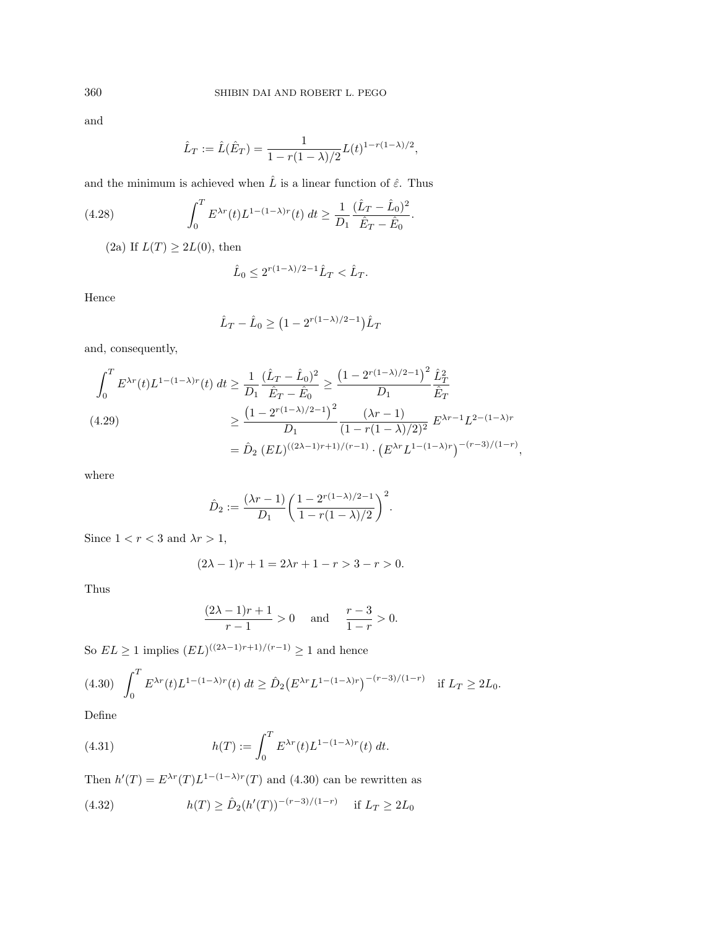and

$$
\hat{L}_T := \hat{L}(\hat{E}_T) = \frac{1}{1 - r(1 - \lambda)/2} L(t)^{1 - r(1 - \lambda)/2},
$$

and the minimum is achieved when  $\hat{L}$  is a linear function of  $\hat{\varepsilon}.$  Thus

(4.28) 
$$
\int_0^T E^{\lambda r}(t) L^{1-(1-\lambda)r}(t) dt \ge \frac{1}{D_1} \frac{(\hat{L}_T - \hat{L}_0)^2}{\hat{E}_T - \hat{E}_0}.
$$

(2a) If  $L(T) \geq 2L(0)$ , then

$$
\hat{L}_0 \le 2^{r(1-\lambda)/2 - 1} \hat{L}_T < \hat{L}_T.
$$

Hence

$$
\hat{L}_T - \hat{L}_0 \ge (1 - 2^{r(1 - \lambda)/2 - 1}) \hat{L}_T
$$

and, consequently,

$$
\int_0^T E^{\lambda r}(t) L^{1-(1-\lambda)r}(t) dt \ge \frac{1}{D_1} \frac{(\hat{L}_T - \hat{L}_0)^2}{\hat{E}_T - \hat{E}_0} \ge \frac{\left(1 - 2^{r(1-\lambda)/2 - 1}\right)^2}{D_1} \frac{\hat{L}_T^2}{\hat{E}_T}
$$
\n
$$
\ge \frac{\left(1 - 2^{r(1-\lambda)/2 - 1}\right)^2}{D_1} \frac{(\lambda r - 1)}{\left(1 - r(1 - \lambda)/2\right)^2} E^{\lambda r - 1} L^{2 - (1 - \lambda)r}
$$
\n
$$
= \hat{D}_2 \left( EL \right)^{\left((2\lambda - 1)r + 1\right)/(r - 1)} \cdot \left( E^{\lambda r} L^{1 - (1 - \lambda)r} \right)^{-\left(r - 3\right)/(1 - r)},
$$

where

$$
\hat{D}_2 := \frac{(\lambda r - 1)}{D_1} \left( \frac{1 - 2^{r(1 - \lambda)/2 - 1}}{1 - r(1 - \lambda)/2} \right)^2.
$$

Since  $1 < r < 3$  and  $\lambda r > 1$ ,

$$
(2\lambda - 1)r + 1 = 2\lambda r + 1 - r > 3 - r > 0.
$$

Thus

$$
\frac{(2\lambda - 1)r + 1}{r - 1} > 0 \quad \text{and} \quad \frac{r - 3}{1 - r} > 0.
$$

So  $EL \ge 1$  implies  $(EL)^{((2\lambda-1)r+1)/(r-1)} \ge 1$  and hence

$$
(4.30) \quad \int_0^T E^{\lambda r}(t) L^{1-(1-\lambda)r}(t) \, dt \ge \hat{D}_2 \big( E^{\lambda r} L^{1-(1-\lambda)r} \big)^{-(r-3)/(1-r)} \quad \text{if } L_T \ge 2L_0.
$$

Define

(4.31) 
$$
h(T) := \int_0^T E^{\lambda r}(t) L^{1-(1-\lambda)r}(t) dt.
$$

Then  $h'(T) = E^{\lambda r}(T) L^{1-(1-\lambda)r}(T)$  and (4.30) can be rewritten as

(4.32) 
$$
h(T) \geq \hat{D}_2(h'(T))^{-(r-3)/(1-r)} \quad \text{if } L_T \geq 2L_0
$$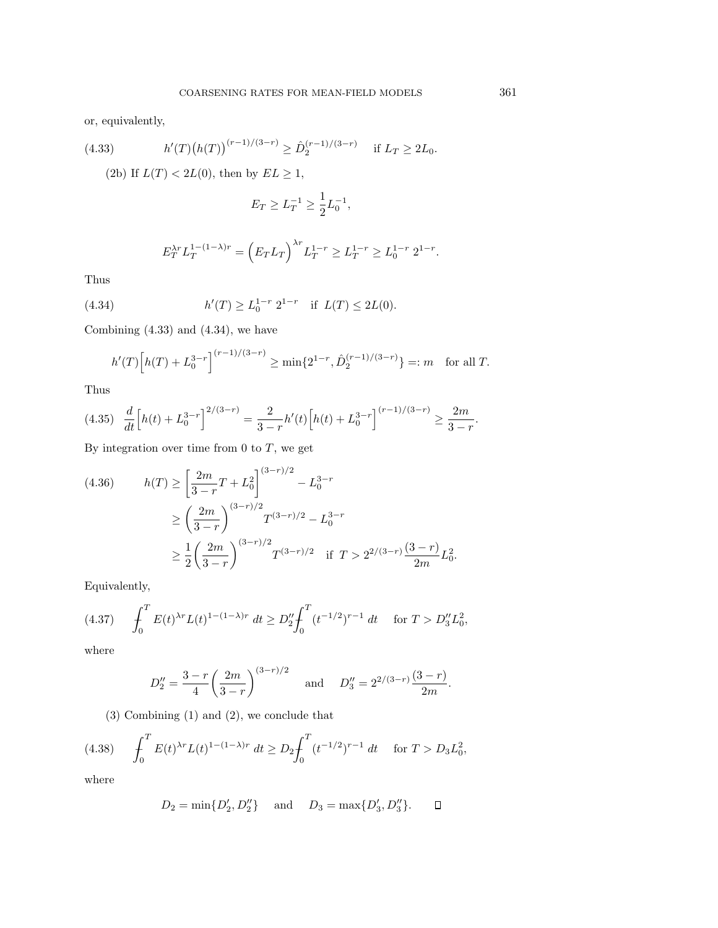or, equivalently,

(4.33) 
$$
h'(T)\big(h(T)\big)^{(r-1)/(3-r)} \geq \hat{D}_2^{(r-1)/(3-r)} \quad \text{if } L_T \geq 2L_0.
$$

(2b) If  $L(T) < 2L(0)$ , then by  $EL \ge 1$ ,

$$
E_T \ge L_T^{-1} \ge \frac{1}{2} L_0^{-1},
$$

$$
E_T^{\lambda r} L_T^{1-(1-\lambda)r} = \left( E_T L_T \right)^{\lambda r} L_T^{1-r} \ge L_T^{1-r} \ge L_0^{1-r} 2^{1-r}.
$$

Thus

(4.34) 
$$
h'(T) \ge L_0^{1-r} 2^{1-r}
$$
 if  $L(T) \le 2L(0)$ .

Combining (4.33) and (4.34), we have

$$
h'(T)\Big[h(T) + L_0^{3-r}\Big]^{(r-1)/(3-r)} \ge \min\{2^{1-r}, \hat{D}_2^{(r-1)/(3-r)}\} =: m \quad \text{for all } T.
$$

Thus

$$
(4.35) \quad \frac{d}{dt} \left[ h(t) + L_0^{3-r} \right]^{2/(3-r)} = \frac{2}{3-r} h'(t) \left[ h(t) + L_0^{3-r} \right]^{(r-1)/(3-r)} \ge \frac{2m}{3-r}.
$$

By integration over time from  $0$  to  $T$ , we get

(4.36) 
$$
h(T) \ge \left[\frac{2m}{3-r}T + L_0^2\right]^{(3-r)/2} - L_0^{3-r}
$$

$$
\ge \left(\frac{2m}{3-r}\right)^{(3-r)/2} T^{(3-r)/2} - L_0^{3-r}
$$

$$
\ge \frac{1}{2} \left(\frac{2m}{3-r}\right)^{(3-r)/2} T^{(3-r)/2} \quad \text{if } T > 2^{2/(3-r)} \frac{(3-r)}{2m} L_0^2.
$$

Equivalently,

$$
(4.37) \qquad \int_0^T E(t)^{\lambda r} L(t)^{1-(1-\lambda)r} dt \ge D_2'' \int_0^T (t^{-1/2})^{r-1} dt \quad \text{ for } T > D_3'' L_0^2,
$$

where

$$
D_2'' = \frac{3-r}{4} \left(\frac{2m}{3-r}\right)^{(3-r)/2} \quad \text{and} \quad D_3'' = 2^{2/(3-r)} \frac{(3-r)}{2m}.
$$

(3) Combining (1) and (2), we conclude that

$$
(4.38) \qquad \int_0^T E(t)^{\lambda r} L(t)^{1-(1-\lambda)r} dt \ge D_2 \int_0^T (t^{-1/2})^{r-1} dt \qquad \text{for } T > D_3 L_0^2,
$$

where

$$
D_2 = \min\{D'_2, D''_2\}
$$
 and  $D_3 = \max\{D'_3, D''_3\}$ .  $\Box$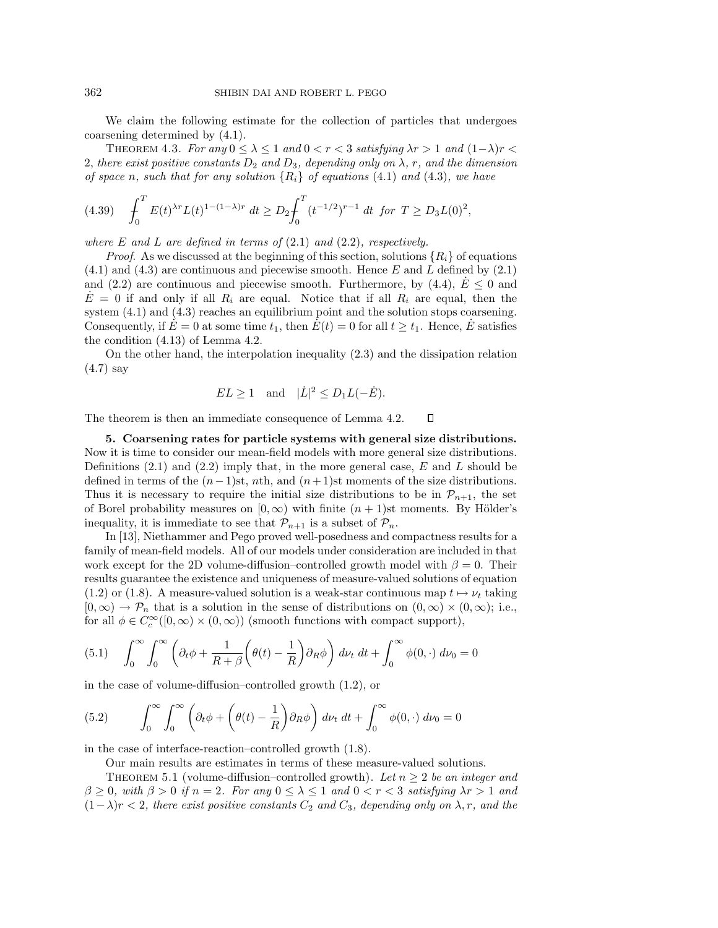We claim the following estimate for the collection of particles that undergoes coarsening determined by (4.1).

THEOREM 4.3. For any  $0 \leq \lambda \leq 1$  and  $0 < r < 3$  satisfying  $\lambda r > 1$  and  $(1-\lambda)r <$ 2, there exist positive constants  $D_2$  and  $D_3$ , depending only on  $\lambda$ , r, and the dimension of space n, such that for any solution  $\{R_i\}$  of equations (4.1) and (4.3), we have

$$
(4.39) \quad \int_0^T E(t)^{\lambda r} L(t)^{1-(1-\lambda)r} dt \ge D_2 \int_0^T (t^{-1/2})^{r-1} dt \text{ for } T \ge D_3 L(0)^2,
$$

where E and L are defined in terms of  $(2.1)$  and  $(2.2)$ , respectively.

*Proof.* As we discussed at the beginning of this section, solutions  $\{R_i\}$  of equations  $(4.1)$  and  $(4.3)$  are continuous and piecewise smooth. Hence E and L defined by  $(2.1)$ and (2.2) are continuous and piecewise smooth. Furthermore, by (4.4),  $E \leq 0$  and  $E = 0$  if and only if all  $R_i$  are equal. Notice that if all  $R_i$  are equal, then the system  $(4.1)$  and  $(4.3)$  reaches an equilibrium point and the solution stops coarsening. Consequently, if  $E = 0$  at some time  $t_1$ , then  $E(t) = 0$  for all  $t \geq t_1$ . Hence, E satisfies the condition (4.13) of Lemma 4.2.

On the other hand, the interpolation inequality (2.3) and the dissipation relation (4.7) say

$$
EL \ge 1
$$
 and  $|\dot{L}|^2 \le D_1L(-\dot{E}).$ 

The theorem is then an immediate consequence of Lemma 4.2.  $\Box$ 

**5. Coarsening rates for particle systems with general size distributions.** Now it is time to consider our mean-field models with more general size distributions. Definitions  $(2.1)$  and  $(2.2)$  imply that, in the more general case, E and L should be defined in terms of the  $(n-1)$ st, nth, and  $(n+1)$ st moments of the size distributions. Thus it is necessary to require the initial size distributions to be in  $\mathcal{P}_{n+1}$ , the set of Borel probability measures on  $[0, \infty)$  with finite  $(n + 1)$ st moments. By Hölder's inequality, it is immediate to see that  $\mathcal{P}_{n+1}$  is a subset of  $\mathcal{P}_n$ .

In [13], Niethammer and Pego proved well-posedness and compactness results for a family of mean-field models. All of our models under consideration are included in that work except for the 2D volume-diffusion–controlled growth model with  $\beta = 0$ . Their results guarantee the existence and uniqueness of measure-valued solutions of equation (1.2) or (1.8). A measure-valued solution is a weak-star continuous map  $t \mapsto \nu_t$  taking  $[0,\infty) \to \mathcal{P}_n$  that is a solution in the sense of distributions on  $(0,\infty) \times (0,\infty)$ ; i.e., for all  $\phi \in C_c^{\infty}([0,\infty) \times (0,\infty))$  (smooth functions with compact support),

(5.1) 
$$
\int_0^\infty \int_0^\infty \left( \partial_t \phi + \frac{1}{R + \beta} \left( \theta(t) - \frac{1}{R} \right) \partial_R \phi \right) d\nu_t dt + \int_0^\infty \phi(0, \cdot) d\nu_0 = 0
$$

in the case of volume-diffusion–controlled growth (1.2), or

(5.2) 
$$
\int_0^\infty \int_0^\infty \left( \partial_t \phi + \left( \theta(t) - \frac{1}{R} \right) \partial_R \phi \right) d\nu_t dt + \int_0^\infty \phi(0, \cdot) d\nu_0 = 0
$$

in the case of interface-reaction–controlled growth (1.8).

Our main results are estimates in terms of these measure-valued solutions.

THEOREM 5.1 (volume-diffusion–controlled growth). Let  $n \geq 2$  be an integer and  $\beta \geq 0$ , with  $\beta > 0$  if  $n = 2$ . For any  $0 \leq \lambda \leq 1$  and  $0 < r < 3$  satisfying  $\lambda r > 1$  and  $(1-\lambda)r < 2$ , there exist positive constants  $C_2$  and  $C_3$ , depending only on  $\lambda$ , r, and the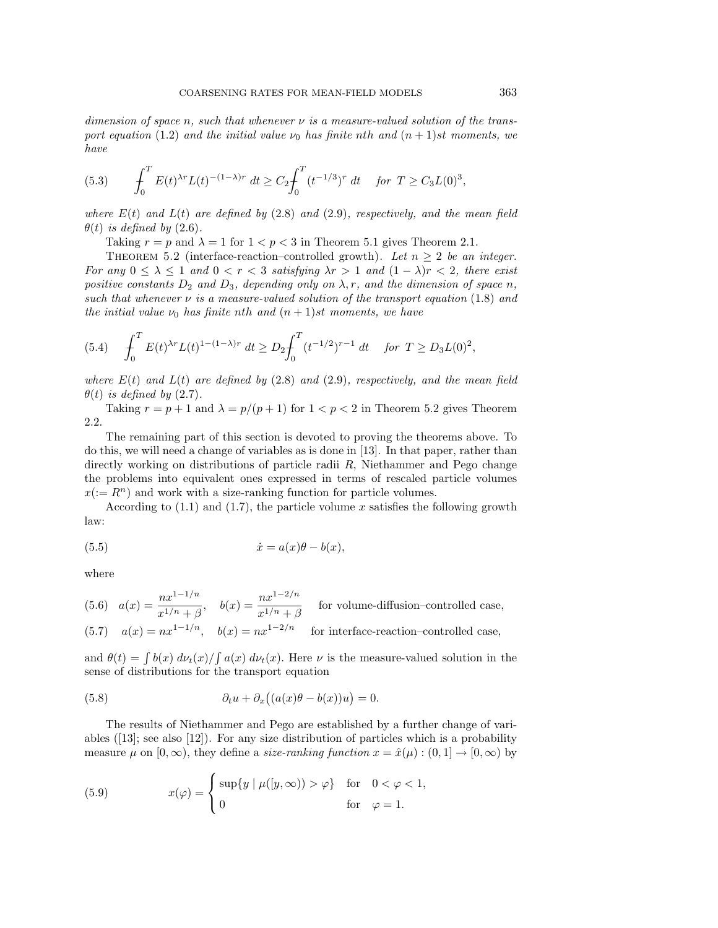dimension of space n, such that whenever  $\nu$  is a measure-valued solution of the transport equation (1.2) and the initial value  $\nu_0$  has finite nth and  $(n + 1)$ st moments, we have

$$
(5.3) \qquad \int_0^T E(t)^{\lambda r} L(t)^{-(1-\lambda)r} dt \ge C_2 \int_0^T (t^{-1/3})^r dt \quad \text{for } T \ge C_3 L(0)^3,
$$

where  $E(t)$  and  $L(t)$  are defined by (2.8) and (2.9), respectively, and the mean field  $\theta(t)$  is defined by (2.6).

Taking  $r = p$  and  $\lambda = 1$  for  $1 < p < 3$  in Theorem 5.1 gives Theorem 2.1.

THEOREM 5.2 (interface-reaction–controlled growth). Let  $n \geq 2$  be an integer. For any  $0 \leq \lambda \leq 1$  and  $0 < r < 3$  satisfying  $\lambda r > 1$  and  $(1 - \lambda)r < 2$ , there exist positive constants  $D_2$  and  $D_3$ , depending only on  $\lambda$ , r, and the dimension of space n, such that whenever  $\nu$  is a measure-valued solution of the transport equation (1.8) and the initial value  $\nu_0$  has finite nth and  $(n+1)$ st moments, we have

$$
(5.4) \quad \int_0^T E(t)^{\lambda r} L(t)^{1-(1-\lambda)r} dt \ge D_2 \int_0^T (t^{-1/2})^{r-1} dt \quad \text{for } T \ge D_3 L(0)^2,
$$

where  $E(t)$  and  $L(t)$  are defined by (2.8) and (2.9), respectively, and the mean field  $\theta(t)$  is defined by (2.7).

Taking  $r = p + 1$  and  $\lambda = p/(p + 1)$  for  $1 < p < 2$  in Theorem 5.2 gives Theorem 2.2.

The remaining part of this section is devoted to proving the theorems above. To do this, we will need a change of variables as is done in [13]. In that paper, rather than directly working on distributions of particle radii  $R$ , Niethammer and Pego change the problems into equivalent ones expressed in terms of rescaled particle volumes  $x(:= R<sup>n</sup>)$  and work with a size-ranking function for particle volumes.

According to  $(1.1)$  and  $(1.7)$ , the particle volume x satisfies the following growth law:

(5.5) 
$$
\dot{x} = a(x)\theta - b(x),
$$

where

(5.6) 
$$
a(x) = \frac{nx^{1-1/n}}{x^{1/n} + \beta}
$$
,  $b(x) = \frac{nx^{1-2/n}}{x^{1/n} + \beta}$  for volume-diffusion–controlled case,  
(5.7)  $a(x) = nx^{1-1/n}$ ,  $b(x) = nx^{1-2/n}$  for interface-reaction–controlled case,

and  $\theta(t) = \int b(x) \, d\nu_t(x) / \int a(x) \, d\nu_t(x)$ . Here  $\nu$  is the measure-valued solution in the sense of distributions for the transport equation

(5.8) 
$$
\partial_t u + \partial_x ((a(x)\theta - b(x))u) = 0.
$$

The results of Niethammer and Pego are established by a further change of variables  $([13];$  see also  $[12])$ . For any size distribution of particles which is a probability measure  $\mu$  on  $[0,\infty)$ , they define a *size-ranking function*  $x = \hat{x}(\mu) : (0,1] \to [0,\infty)$  by

(5.9) 
$$
x(\varphi) = \begin{cases} \sup\{y \mid \mu([y,\infty)) > \varphi\} & \text{for } 0 < \varphi < 1, \\ 0 & \text{for } \varphi = 1. \end{cases}
$$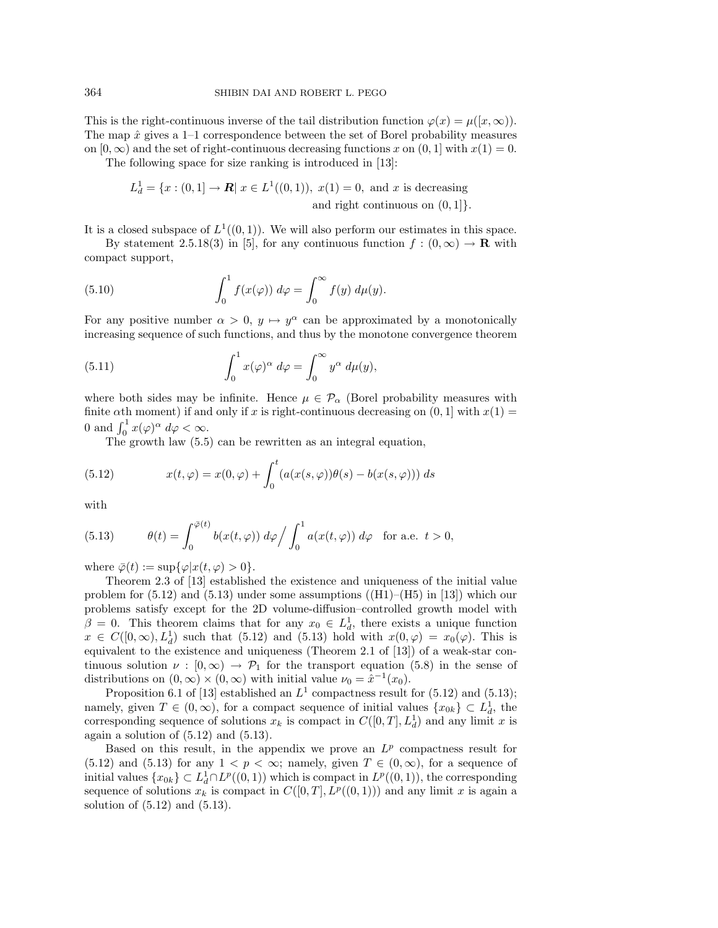This is the right-continuous inverse of the tail distribution function  $\varphi(x) = \mu([x,\infty)).$ The map  $\hat{x}$  gives a 1–1 correspondence between the set of Borel probability measures on  $[0, \infty)$  and the set of right-continuous decreasing functions x on  $(0, 1]$  with  $x(1) = 0$ .

The following space for size ranking is introduced in [13]:

$$
L_d^1 = \{x : (0,1] \to \mathbf{R} | x \in L^1((0,1)), x(1) = 0, \text{ and } x \text{ is decreasing}
$$
  
and right continuous on  $(0,1]$ .

It is a closed subspace of  $L^1((0,1))$ . We will also perform our estimates in this space.

By statement 2.5.18(3) in [5], for any continuous function  $f : (0, \infty) \to \mathbf{R}$  with compact support,

(5.10) 
$$
\int_0^1 f(x(\varphi)) d\varphi = \int_0^\infty f(y) d\mu(y).
$$

For any positive number  $\alpha > 0$ ,  $y \mapsto y^{\alpha}$  can be approximated by a monotonically increasing sequence of such functions, and thus by the monotone convergence theorem

(5.11) 
$$
\int_0^1 x(\varphi)^\alpha \ d\varphi = \int_0^\infty y^\alpha \ d\mu(y),
$$

where both sides may be infinite. Hence  $\mu \in \mathcal{P}_{\alpha}$  (Borel probability measures with finite  $\alpha$ th moment) if and only if x is right-continuous decreasing on  $(0, 1]$  with  $x(1) =$ 0 and  $\int_0^1 x(\varphi)^\alpha d\varphi < \infty$ .

The growth law (5.5) can be rewritten as an integral equation,

(5.12) 
$$
x(t,\varphi) = x(0,\varphi) + \int_0^t (a(x(s,\varphi))\theta(s) - b(x(s,\varphi))) ds
$$

with

(5.13) 
$$
\theta(t) = \int_0^{\bar{\varphi}(t)} b(x(t,\varphi)) d\varphi / \int_0^1 a(x(t,\varphi)) d\varphi \text{ for a.e. } t > 0,
$$

where  $\overline{\varphi}(t) := \sup \{ \varphi | x(t, \varphi) > 0 \}.$ 

Theorem 2.3 of [13] established the existence and uniqueness of the initial value problem for  $(5.12)$  and  $(5.13)$  under some assumptions  $((\text{H1})-(\text{H5})$  in [13]) which our problems satisfy except for the 2D volume-diffusion–controlled growth model with  $\beta = 0$ . This theorem claims that for any  $x_0 \in L_d^1$ , there exists a unique function  $x \in C([0,\infty), L_d^1)$  such that (5.12) and (5.13) hold with  $x(0,\varphi) = x_0(\varphi)$ . This is equivalent to the existence and uniqueness (Theorem 2.1 of [13]) of a weak-star continuous solution  $\nu : [0, \infty) \to \mathcal{P}_1$  for the transport equation (5.8) in the sense of distributions on  $(0, \infty) \times (0, \infty)$  with initial value  $\nu_0 = \hat{x}^{-1}(x_0)$ .

Proposition 6.1 of [13] established an  $L^1$  compactness result for (5.12) and (5.13); namely, given  $T \in (0, \infty)$ , for a compact sequence of initial values  $\{x_{0k}\}\subset L_d^1$ , the corresponding sequence of solutions  $x_k$  is compact in  $C([0,T], L_d^1)$  and any limit x is again a solution of  $(5.12)$  and  $(5.13)$ .

Based on this result, in the appendix we prove an  $L^p$  compactness result for  $(5.12)$  and  $(5.13)$  for any  $1 < p < \infty$ ; namely, given  $T \in (0, \infty)$ , for a sequence of initial values  $\{x_{0k}\}\subset L^1_d\cap L^p((0,1))$  which is compact in  $L^p((0,1))$ , the corresponding sequence of solutions  $x_k$  is compact in  $C([0, T], L^p((0, 1)))$  and any limit x is again a solution of (5.12) and (5.13).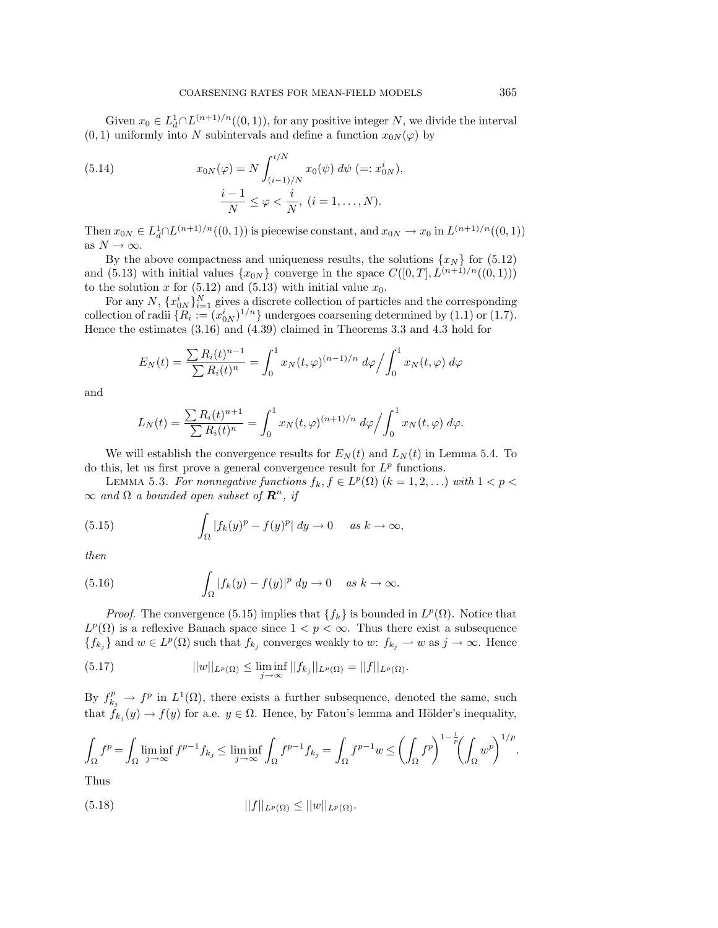Given  $x_0 \in L^1_d \cap L^{(n+1)/n}((0,1))$ , for any positive integer N, we divide the interval  $(0, 1)$  uniformly into N subintervals and define a function  $x_{0N}(\varphi)$  by

(5.14) 
$$
x_{0N}(\varphi) = N \int_{(i-1)/N}^{i/N} x_0(\psi) d\psi (= : x_{0N}^i),
$$

$$
\frac{i-1}{N} \le \varphi < \frac{i}{N}, (i = 1, ..., N).
$$

Then  $x_{0N} \in L^1_d \cap L^{(n+1)/n}((0,1))$  is piecewise constant, and  $x_{0N} \to x_0$  in  $L^{(n+1)/n}((0,1))$ as  $N \to \infty$ .

By the above compactness and uniqueness results, the solutions  $\{x_N\}$  for (5.12) and (5.13) with initial values  $\{x_{0N}\}$  converge in the space  $C([0, T], L^{(n+1)/n}((0, 1)))$ to the solution x for  $(5.12)$  and  $(5.13)$  with initial value  $x_0$ .

For any N,  $\{x_{0N}^i\}_{i=1}^N$  gives a discrete collection of particles and the corresponding collection of radii  $\{R_i := (x_{0N}^i)^{1/n}\}\$  undergoes coarsening determined by (1.1) or (1.7). Hence the estimates (3.16) and (4.39) claimed in Theorems 3.3 and 4.3 hold for

$$
E_N(t) = \frac{\sum R_i(t)^{n-1}}{\sum R_i(t)^n} = \int_0^1 x_N(t,\varphi)^{(n-1)/n} d\varphi / \int_0^1 x_N(t,\varphi) d\varphi
$$

and

$$
L_N(t) = \frac{\sum R_i(t)^{n+1}}{\sum R_i(t)^n} = \int_0^1 x_N(t,\varphi)^{(n+1)/n} d\varphi / \int_0^1 x_N(t,\varphi) d\varphi.
$$

We will establish the convergence results for  $E_N(t)$  and  $L_N(t)$  in Lemma 5.4. To do this, let us first prove a general convergence result for  $L^p$  functions.

LEMMA 5.3. For nonnegative functions  $f_k, f \in L^p(\Omega)$   $(k = 1, 2, \ldots)$  with  $1 < p <$  $\infty$  and  $\Omega$  a bounded open subset of  $\mathbb{R}^n$ , if

(5.15) 
$$
\int_{\Omega} |f_k(y)^p - f(y)^p| dy \to 0 \quad \text{as } k \to \infty,
$$

then

(5.16) 
$$
\int_{\Omega} |f_k(y) - f(y)|^p dy \to 0 \quad \text{as } k \to \infty.
$$

*Proof.* The convergence (5.15) implies that  ${f_k}$  is bounded in  $L^p(\Omega)$ . Notice that  $L^p(\Omega)$  is a reflexive Banach space since  $1 < p < \infty$ . Thus there exist a subsequence  ${f_k}_j$  and  $w \in L^p(\Omega)$  such that  $f_{k_j}$  converges weakly to w:  $f_{k_j} \to w$  as  $j \to \infty$ . Hence

(5.17) 
$$
||w||_{L^p(\Omega)} \leq \liminf_{j \to \infty} ||f_{k_j}||_{L^p(\Omega)} = ||f||_{L^p(\Omega)}.
$$

By  $f_{k_j}^p \to f^p$  in  $L^1(\Omega)$ , there exists a further subsequence, denoted the same, such that  $f_{k_j}(y) \to f(y)$  for a.e.  $y \in \Omega$ . Hence, by Fatou's lemma and Hölder's inequality,

$$
\int_{\Omega} f^{p} = \int_{\Omega} \liminf_{j \to \infty} f^{p-1} f_{k_j} \le \liminf_{j \to \infty} \int_{\Omega} f^{p-1} f_{k_j} = \int_{\Omega} f^{p-1} w \le \left( \int_{\Omega} f^{p} \right)^{1-\frac{1}{p}} \left( \int_{\Omega} w^{p} \right)^{1/p}.
$$

Thus

(5.18) 
$$
||f||_{L^p(\Omega)} \leq ||w||_{L^p(\Omega)}.
$$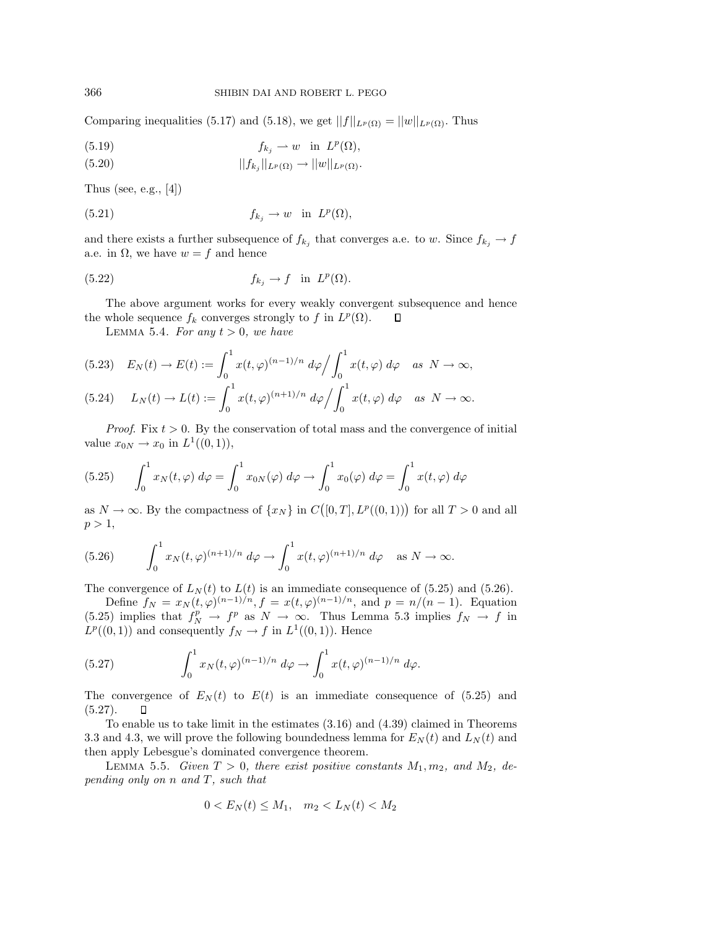Comparing inequalities (5.17) and (5.18), we get  $||f||_{L^p(\Omega)} = ||w||_{L^p(\Omega)}$ . Thus

(5.19) 
$$
f_{k_j} \rightharpoonup w \quad \text{in} \ \ L^p(\Omega),
$$

$$
||f_{k_j}||_{L^p(\Omega)} \to ||w||_{L^p(\Omega)}.
$$

Thus (see, e.g.,  $[4]$ )

(5.21) 
$$
f_{k_j} \to w \quad \text{in} \quad L^p(\Omega),
$$

and there exists a further subsequence of  $f_{k_j}$  that converges a.e. to w. Since  $f_{k_j} \to f$ a.e. in  $\Omega$ , we have  $w = f$  and hence

(5.22) 
$$
f_{k_j} \to f \quad \text{in} \quad L^p(\Omega).
$$

The above argument works for every weakly convergent subsequence and hence the whole sequence  $f_k$  converges strongly to f in  $L^p(\Omega)$ .  $\Box$ 

LEMMA 5.4. For any  $t > 0$ , we have

$$
(5.23) \quad E_N(t) \to E(t) := \int_0^1 x(t,\varphi)^{(n-1)/n} \, d\varphi \Big/ \int_0^1 x(t,\varphi) \, d\varphi \quad \text{as } N \to \infty,
$$
\n
$$
(5.24) \quad L_N(t) \to L(t) := \int_0^1 x(t,\varphi)^{(n+1)/n} \, d\varphi \Big/ \int_0^1 x(t,\varphi) \, d\varphi \quad \text{as } N \to \infty.
$$

*Proof.* Fix  $t > 0$ . By the conservation of total mass and the convergence of initial value  $x_{0N} \to x_0$  in  $L^1((0,1)),$ 

(5.25) 
$$
\int_0^1 x_N(t,\varphi) d\varphi = \int_0^1 x_{0N}(\varphi) d\varphi \to \int_0^1 x_0(\varphi) d\varphi = \int_0^1 x(t,\varphi) d\varphi
$$

as  $N \to \infty$ . By the compactness of  $\{x_N\}$  in  $C([0,T], L^p((0,1)))$  for all  $T > 0$  and all  $p > 1$ ,

(5.26) 
$$
\int_0^1 x_N(t,\varphi)^{(n+1)/n} d\varphi \to \int_0^1 x(t,\varphi)^{(n+1)/n} d\varphi \quad \text{as } N \to \infty.
$$

The convergence of  $L_N(t)$  to  $L(t)$  is an immediate consequence of (5.25) and (5.26).

Define  $f_N = x_N(t, \varphi)^{(n-1)/n}, f = x(t, \varphi)^{(n-1)/n},$  and  $p = n/(n-1)$ . Equation (5.25) implies that  $f_N^p \to f^p$  as  $N \to \infty$ . Thus Lemma 5.3 implies  $f_N \to f$  in  $L^p((0, 1))$  and consequently  $f_N \to f$  in  $L^1((0, 1))$ . Hence

(5.27) 
$$
\int_0^1 x_N(t,\varphi)^{(n-1)/n} d\varphi \to \int_0^1 x(t,\varphi)^{(n-1)/n} d\varphi.
$$

The convergence of  $E_N(t)$  to  $E(t)$  is an immediate consequence of (5.25) and  $(5.27).$ П

To enable us to take limit in the estimates (3.16) and (4.39) claimed in Theorems 3.3 and 4.3, we will prove the following boundedness lemma for  $E_N(t)$  and  $L_N(t)$  and then apply Lebesgue's dominated convergence theorem.

LEMMA 5.5. Given  $T > 0$ , there exist positive constants  $M_1, m_2$ , and  $M_2$ , depending only on n and T, such that

$$
0 < E_N(t) \le M_1, \quad m_2 < L_N(t) < M_2
$$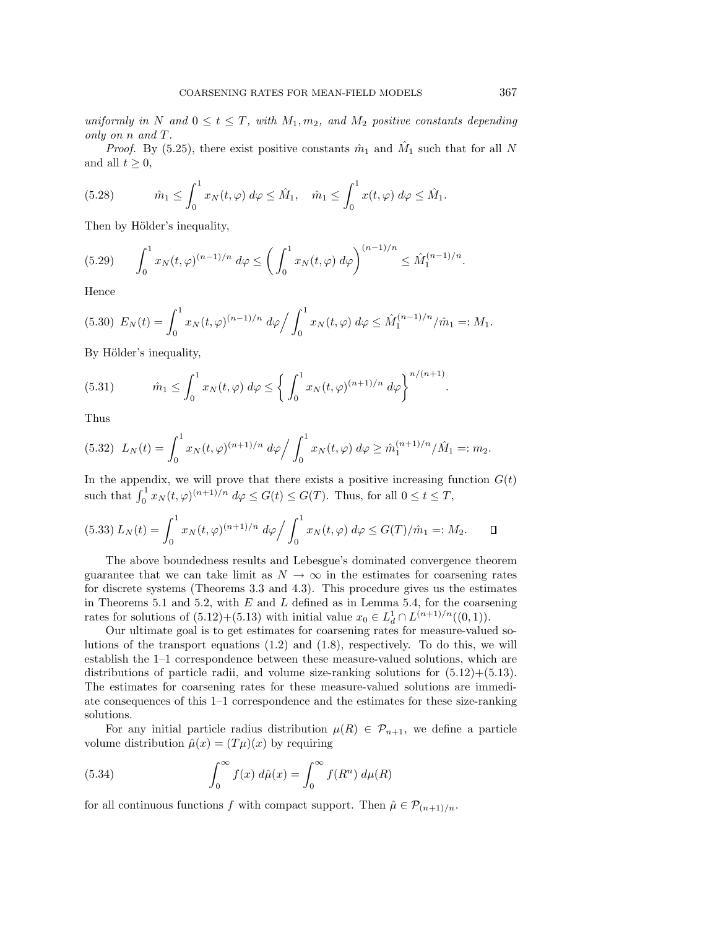uniformly in N and  $0 \le t \le T$ , with  $M_1, m_2$ , and  $M_2$  positive constants depending only on n and T.

*Proof.* By (5.25), there exist positive constants  $\hat{m}_1$  and  $\hat{M}_1$  such that for all N and all  $t \geq 0$ ,

(5.28) 
$$
\hat{m}_1 \leq \int_0^1 x_N(t,\varphi) d\varphi \leq \hat{M}_1, \quad \hat{m}_1 \leq \int_0^1 x(t,\varphi) d\varphi \leq \hat{M}_1.
$$

Then by Hölder's inequality,

$$
(5.29) \qquad \int_0^1 x_N(t,\varphi)^{(n-1)/n} \, d\varphi \le \left(\int_0^1 x_N(t,\varphi) \, d\varphi\right)^{(n-1)/n} \le \hat{M}_1^{(n-1)/n}.
$$

Hence

$$
(5.30) \ E_N(t) = \int_0^1 x_N(t,\varphi)^{(n-1)/n} \ d\varphi \Big/ \int_0^1 x_N(t,\varphi) \ d\varphi \leq \hat{M}_1^{(n-1)/n} / \hat{m}_1 =: M_1.
$$

By Hölder's inequality,

(5.31) 
$$
\hat{m}_1 \le \int_0^1 x_N(t,\varphi) \, d\varphi \le \left\{ \int_0^1 x_N(t,\varphi)^{(n+1)/n} \, d\varphi \right\}^{n/(n+1)}.
$$

Thus

$$
(5.32) \ L_N(t) = \int_0^1 x_N(t,\varphi)^{(n+1)/n} \ d\varphi / \int_0^1 x_N(t,\varphi) \ d\varphi \geq \hat{m}_1^{(n+1)/n} / \hat{M}_1 =: m_2.
$$

In the appendix, we will prove that there exists a positive increasing function  $G(t)$ such that  $\int_0^1 x_N(t,\varphi)^{(n+1)/n} d\varphi \le G(t) \le G(T)$ . Thus, for all  $0 \le t \le T$ ,

$$
(5.33) L_N(t) = \int_0^1 x_N(t, \varphi)^{(n+1)/n} d\varphi / \int_0^1 x_N(t, \varphi) d\varphi \le G(T)/\hat{m}_1 =: M_2. \qquad \Box
$$

The above boundedness results and Lebesgue's dominated convergence theorem guarantee that we can take limit as  $N \to \infty$  in the estimates for coarsening rates for discrete systems (Theorems 3.3 and 4.3). This procedure gives us the estimates in Theorems 5.1 and 5.2, with  $E$  and  $L$  defined as in Lemma 5.4, for the coarsening rates for solutions of  $(5.12)+(5.13)$  with initial value  $x_0 \in L^1_d \cap L^{(n+1)/n}((0,1)).$ 

Our ultimate goal is to get estimates for coarsening rates for measure-valued solutions of the transport equations (1.2) and (1.8), respectively. To do this, we will establish the 1–1 correspondence between these measure-valued solutions, which are distributions of particle radii, and volume size-ranking solutions for  $(5.12)+(5.13)$ . The estimates for coarsening rates for these measure-valued solutions are immediate consequences of this 1–1 correspondence and the estimates for these size-ranking solutions.

For any initial particle radius distribution  $\mu(R) \in \mathcal{P}_{n+1}$ , we define a particle volume distribution  $\hat{\mu}(x)=(T\mu)(x)$  by requiring

(5.34) 
$$
\int_0^\infty f(x) d\hat{\mu}(x) = \int_0^\infty f(R^n) d\mu(R)
$$

for all continuous functions f with compact support. Then  $\hat{\mu} \in \mathcal{P}_{(n+1)/n}$ .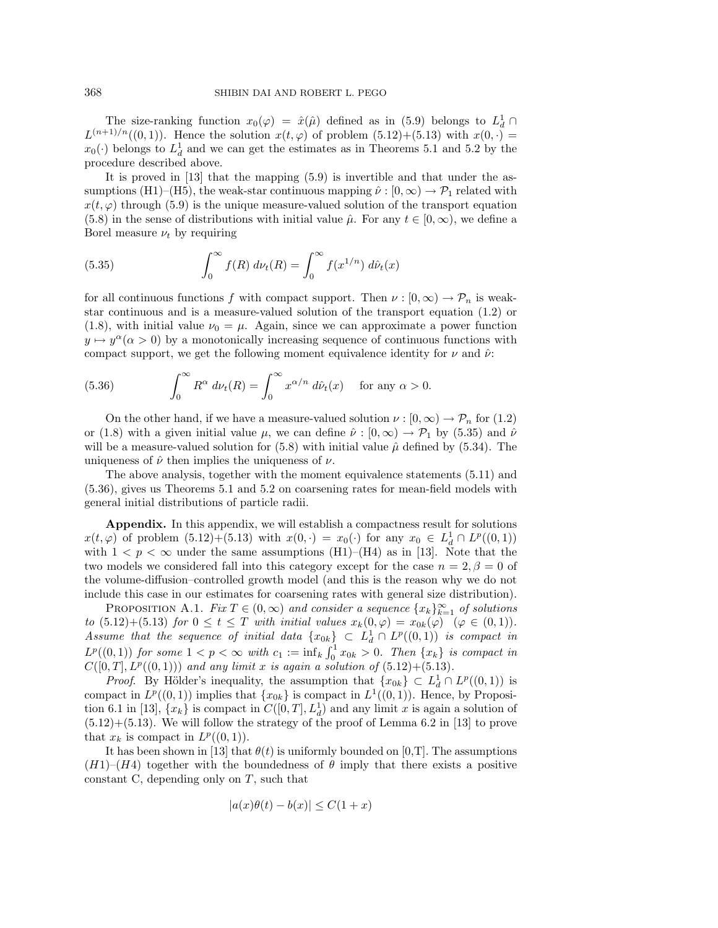The size-ranking function  $x_0(\varphi) = \hat{x}(\hat{\mu})$  defined as in (5.9) belongs to  $L_d^1 \cap$  $L^{(n+1)/n}((0,1))$ . Hence the solution  $x(t, \varphi)$  of problem  $(5.12)+(5.13)$  with  $x(0, \cdot)$  =  $x_0(\cdot)$  belongs to  $L_d^1$  and we can get the estimates as in Theorems 5.1 and 5.2 by the procedure described above.

It is proved in [13] that the mapping (5.9) is invertible and that under the assumptions (H1)–(H5), the weak-star continuous mapping  $\hat{\nu}: [0,\infty) \to \mathcal{P}_1$  related with  $x(t, \varphi)$  through (5.9) is the unique measure-valued solution of the transport equation (5.8) in the sense of distributions with initial value  $\hat{\mu}$ . For any  $t \in [0,\infty)$ , we define a Borel measure  $\nu_t$  by requiring

(5.35) 
$$
\int_0^\infty f(R) \, d\nu_t(R) = \int_0^\infty f(x^{1/n}) \, d\hat{\nu}_t(x)
$$

for all continuous functions f with compact support. Then  $\nu : [0, \infty) \to \mathcal{P}_n$  is weakstar continuous and is a measure-valued solution of the transport equation (1.2) or (1.8), with initial value  $\nu_0 = \mu$ . Again, since we can approximate a power function  $y \mapsto y^{\alpha}(\alpha > 0)$  by a monotonically increasing sequence of continuous functions with compact support, we get the following moment equivalence identity for  $\nu$  and  $\hat{\nu}$ :

(5.36) 
$$
\int_0^\infty R^{\alpha} d\nu_t(R) = \int_0^\infty x^{\alpha/n} d\hat{\nu}_t(x) \text{ for any } \alpha > 0.
$$

On the other hand, if we have a measure-valued solution  $\nu : [0, \infty) \to \mathcal{P}_n$  for (1.2) or (1.8) with a given initial value  $\mu$ , we can define  $\hat{\nu} : [0,\infty) \to \mathcal{P}_1$  by (5.35) and  $\hat{\nu}$ will be a measure-valued solution for (5.8) with initial value  $\hat{\mu}$  defined by (5.34). The uniqueness of  $\hat{\nu}$  then implies the uniqueness of  $\nu$ .

The above analysis, together with the moment equivalence statements (5.11) and (5.36), gives us Theorems 5.1 and 5.2 on coarsening rates for mean-field models with general initial distributions of particle radii.

**Appendix.** In this appendix, we will establish a compactness result for solutions  $x(t, \varphi)$  of problem  $(5.12)+(5.13)$  with  $x(0, \cdot) = x_0(\cdot)$  for any  $x_0 \in L^1_d \cap L^p((0, 1))$ with  $1 < p < \infty$  under the same assumptions (H1)–(H4) as in [13]. Note that the two models we considered fall into this category except for the case  $n = 2, \beta = 0$  of the volume-diffusion–controlled growth model (and this is the reason why we do not include this case in our estimates for coarsening rates with general size distribution).

PROPOSITION A.1. Fix  $T \in (0, \infty)$  and consider a sequence  $\{x_k\}_{k=1}^{\infty}$  of solutions to  $(5.12)+(5.13)$  for  $0 \le t \le T$  with initial values  $x_k(0,\varphi) = x_{0k}(\varphi)$   $(\varphi \in (0,1)).$ Assume that the sequence of initial data  $\{x_{0k}\}\subset L_d^1 \cap L^p((0,1))$  is compact in  $L^p((0,1))$  for some  $1 < p < \infty$  with  $c_1 := \inf_k \int_0^1 x_{0k} > 0$ . Then  $\{x_k\}$  is compact in  $C([0, T], L<sup>p</sup>((0, 1)))$  and any limit x is again a solution of  $(5.12)+(5.13)$ .

*Proof.* By Hölder's inequality, the assumption that  $\{x_{0k}\} \subset L_d^1 \cap L^p((0,1))$  is compact in  $L^p((0,1))$  implies that  $\{x_{0k}\}\$ is compact in  $L^1((0,1))$ . Hence, by Proposition 6.1 in [13],  $\{x_k\}$  is compact in  $C([0,T], L_d^1)$  and any limit x is again a solution of  $(5.12)+(5.13)$ . We will follow the strategy of the proof of Lemma 6.2 in [13] to prove that  $x_k$  is compact in  $L^p((0, 1))$ .

It has been shown in [13] that  $\theta(t)$  is uniformly bounded on [0,T]. The assumptions  $(H1)$ – $(H4)$  together with the boundedness of  $\theta$  imply that there exists a positive constant C, depending only on  $T$ , such that

$$
|a(x)\theta(t) - b(x)| \le C(1+x)
$$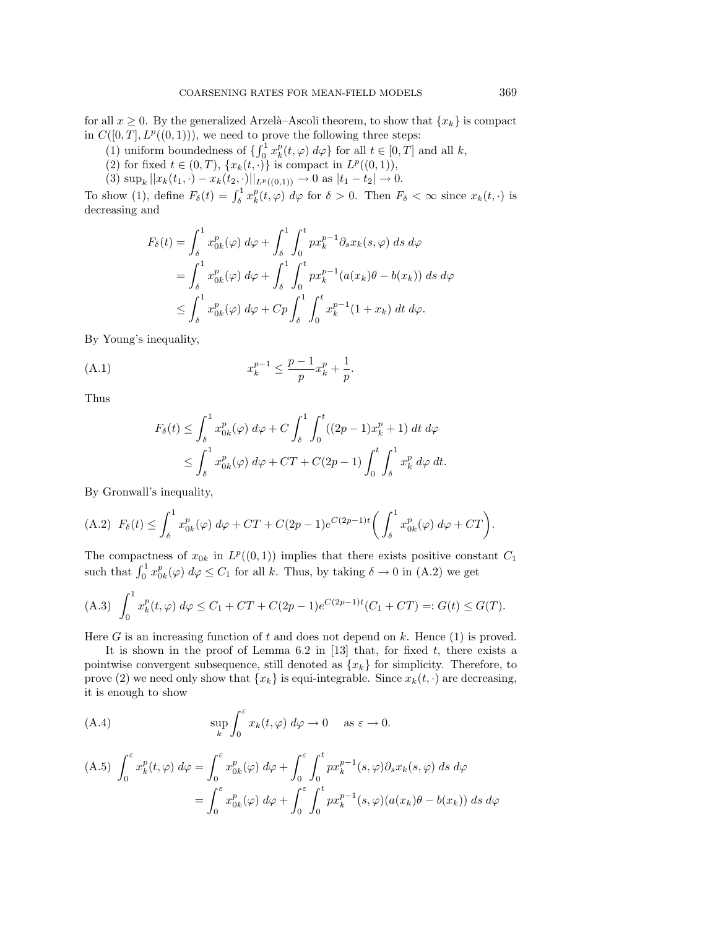for all  $x \geq 0$ . By the generalized Arzelà–Ascoli theorem, to show that  $\{x_k\}$  is compact in  $C([0, T], L^p((0, 1)))$ , we need to prove the following three steps:

- (1) uniform boundedness of  $\{ \int_0^1 x_k^p(t, \varphi) d\varphi \}$  for all  $t \in [0, T]$  and all k,
- (2) for fixed  $t \in (0, T)$ ,  $\{x_k(t, \cdot)\}\$ is compact in  $L^p((0, 1)),$
- (3)  $\sup_k ||x_k(t_1, \cdot) x_k(t_2, \cdot)||_{L^p((0,1))} \to 0$  as  $|t_1 t_2| \to 0$ .

To show (1), define  $F_{\delta}(t) = \int_{\delta}^{1} x_k^p(t, \varphi) d\varphi$  for  $\delta > 0$ . Then  $F_{\delta} < \infty$  since  $x_k(t, \cdot)$  is decreasing and

$$
F_{\delta}(t) = \int_{\delta}^{1} x_{0k}^{p}(\varphi) d\varphi + \int_{\delta}^{1} \int_{0}^{t} px_{k}^{p-1} \partial_{s} x_{k}(s, \varphi) ds d\varphi
$$
  
= 
$$
\int_{\delta}^{1} x_{0k}^{p}(\varphi) d\varphi + \int_{\delta}^{1} \int_{0}^{t} px_{k}^{p-1}(a(x_{k})\theta - b(x_{k})) ds d\varphi
$$
  

$$
\leq \int_{\delta}^{1} x_{0k}^{p}(\varphi) d\varphi + Cp \int_{\delta}^{1} \int_{0}^{t} x_{k}^{p-1}(1+x_{k}) dt d\varphi.
$$

By Young's inequality,

(A.1) 
$$
x_k^{p-1} \le \frac{p-1}{p} x_k^p + \frac{1}{p}.
$$

Thus

$$
F_{\delta}(t) \leq \int_{\delta}^{1} x_{0k}^{p}(\varphi) d\varphi + C \int_{\delta}^{1} \int_{0}^{t} ((2p - 1)x_{k}^{p} + 1) dt d\varphi
$$
  

$$
\leq \int_{\delta}^{1} x_{0k}^{p}(\varphi) d\varphi + CT + C(2p - 1) \int_{0}^{t} \int_{\delta}^{1} x_{k}^{p} d\varphi dt.
$$

By Gronwall's inequality,

(A.2) 
$$
F_{\delta}(t) \le \int_{\delta}^{1} x_{0k}^{p}(\varphi) d\varphi + CT + C(2p - 1)e^{C(2p-1)t} \left( \int_{\delta}^{1} x_{0k}^{p}(\varphi) d\varphi + CT \right).
$$

The compactness of  $x_{0k}$  in  $L^p((0,1))$  implies that there exists positive constant  $C_1$ such that  $\int_0^1 x_{0k}^p(\varphi) d\varphi \leq C_1$  for all k. Thus, by taking  $\delta \to 0$  in (A.2) we get

(A.3) 
$$
\int_0^1 x_k^p(t,\varphi) \, d\varphi \le C_1 + CT + C(2p-1)e^{C(2p-1)t}(C_1 + CT) =: G(t) \le G(T).
$$

Here  $G$  is an increasing function of  $t$  and does not depend on  $k$ . Hence  $(1)$  is proved.

It is shown in the proof of Lemma  $6.2$  in [13] that, for fixed  $t$ , there exists a pointwise convergent subsequence, still denoted as  $\{x_k\}$  for simplicity. Therefore, to prove (2) we need only show that  ${x_k}$  is equi-integrable. Since  $x_k(t, \cdot)$  are decreasing, it is enough to show

(A.4) 
$$
\sup_{k} \int_{0}^{\varepsilon} x_{k}(t,\varphi) d\varphi \to 0 \quad \text{as } \varepsilon \to 0.
$$

(A.5) 
$$
\int_0^{\varepsilon} x_k^p(t,\varphi) d\varphi = \int_0^{\varepsilon} x_{0k}^p(\varphi) d\varphi + \int_0^{\varepsilon} \int_0^t p x_k^{p-1}(s,\varphi) \partial_s x_k(s,\varphi) ds d\varphi
$$

$$
= \int_0^{\varepsilon} x_{0k}^p(\varphi) d\varphi + \int_0^{\varepsilon} \int_0^t p x_k^{p-1}(s,\varphi) (a(x_k)\theta - b(x_k)) ds d\varphi
$$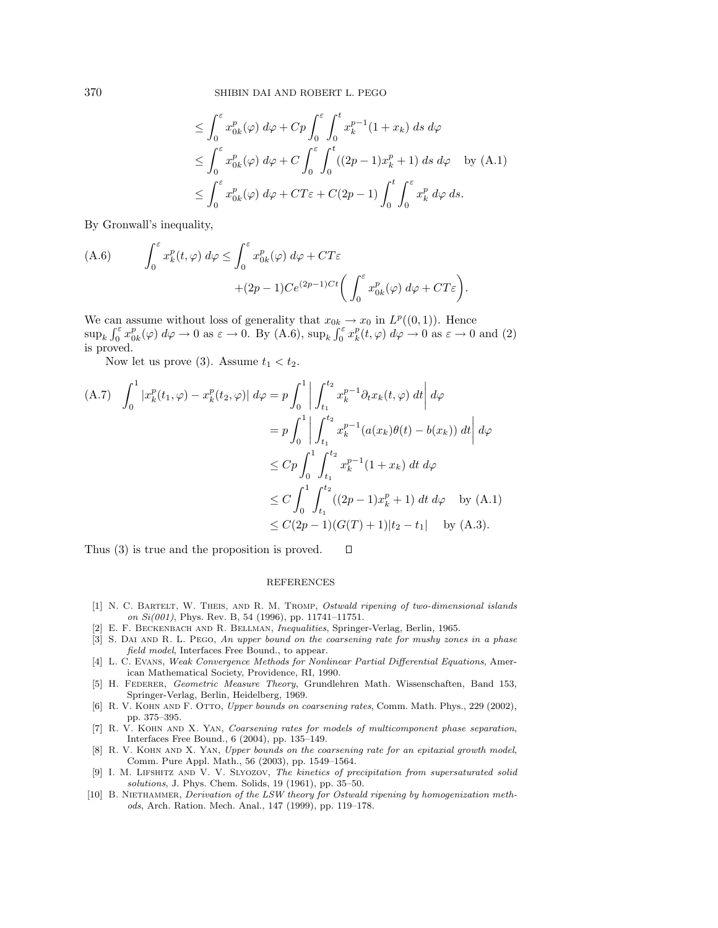370 SHIBIN DAI AND ROBERT L. PEGO

$$
\leq \int_0^{\varepsilon} x_{0k}^p(\varphi) d\varphi + Cp \int_0^{\varepsilon} \int_0^t x_k^{p-1} (1+x_k) ds d\varphi
$$
  
\n
$$
\leq \int_0^{\varepsilon} x_{0k}^p(\varphi) d\varphi + C \int_0^{\varepsilon} \int_0^t ((2p-1)x_k^p + 1) ds d\varphi \quad \text{by (A.1)}
$$
  
\n
$$
\leq \int_0^{\varepsilon} x_{0k}^p(\varphi) d\varphi + CT\varepsilon + C(2p-1) \int_0^t \int_0^{\varepsilon} x_k^p d\varphi ds.
$$

By Gronwall's inequality,

(A.6) 
$$
\int_0^{\varepsilon} x_k^p(t,\varphi) d\varphi \leq \int_0^{\varepsilon} x_{0k}^p(\varphi) d\varphi + CT\varepsilon +(2p-1)Ce^{(2p-1)Ct} \left( \int_0^{\varepsilon} x_{0k}^p(\varphi) d\varphi + CT\varepsilon \right).
$$

We can assume without loss of generality that  $x_{0k} \to x_0$  in  $L^p((0, 1))$ . Hence  $\sup_k \int_0^{\varepsilon} x_{0k}^p(\varphi) d\varphi \to 0$  as  $\varepsilon \to 0$ . By (A.6),  $\sup_k \int_0^{\varepsilon} x_k^p(t, \varphi) d\varphi \to 0$  as  $\varepsilon \to 0$  and (2) is proved.

Now let us prove (3). Assume  $t_1 < t_2$ .

$$
(A.7) \quad \int_0^1 |x_k^p(t_1,\varphi) - x_k^p(t_2,\varphi)| \, d\varphi = p \int_0^1 \left| \int_{t_1}^{t_2} x_k^{p-1} \partial_t x_k(t,\varphi) \, dt \right| \, d\varphi
$$
  

$$
= p \int_0^1 \left| \int_{t_1}^{t_2} x_k^{p-1} (a(x_k)\theta(t) - b(x_k)) \, dt \right| \, d\varphi
$$
  

$$
\leq C p \int_0^1 \int_{t_1}^{t_2} x_k^{p-1} (1 + x_k) \, dt \, d\varphi
$$
  

$$
\leq C \int_0^1 \int_{t_1}^{t_2} ((2p - 1)x_k^p + 1) \, dt \, d\varphi \quad \text{by (A.1)}
$$
  

$$
\leq C (2p - 1) (G(T) + 1) |t_2 - t_1| \quad \text{by (A.3)}.
$$

Thus (3) is true and the proposition is proved.  $\Box$ 

## REFERENCES

- [1] N. C. Bartelt, W. Theis, and R. M. Tromp, Ostwald ripening of two-dimensional islands on Si(001), Phys. Rev. B, 54 (1996), pp. 11741–11751.
- [2] E. F. Beckenbach and R. Bellman, Inequalities, Springer-Verlag, Berlin, 1965.
- [3] S. DAI AND R. L. PEGO, An upper bound on the coarsening rate for mushy zones in a phase field model, Interfaces Free Bound., to appear. [4] L. C. Evans, Weak Convergence Methods for Nonlinear Partial Differential Equations, Amer-
- ican Mathematical Society, Providence, RI, 1990.
- [5] H. Federer, Geometric Measure Theory, Grundlehren Math. Wissenschaften, Band 153, Springer-Verlag, Berlin, Heidelberg, 1969.
- [6] R. V. KOHN AND F. OTTO, Upper bounds on coarsening rates, Comm. Math. Phys., 229 (2002), pp. 375–395. [7] R. V. Kohn and X. Yan, Coarsening rates for models of multicomponent phase separation,
- Interfaces Free Bound., 6 (2004), pp. 135–149.
- [8] R. V. KOHN AND X. YAN, Upper bounds on the coarsening rate for an epitaxial growth model, Comm. Pure Appl. Math., 56 (2003), pp. 1549–1564.
- [9] I. M. Lifshitz and V. V. Slyozov, The kinetics of precipitation from supersaturated solid solutions, J. Phys. Chem. Solids, 19 (1961), pp. 35–50.
- [10] B. Niethammer, Derivation of the LSW theory for Ostwald ripening by homogenization methods, Arch. Ration. Mech. Anal., 147 (1999), pp. 119–178.